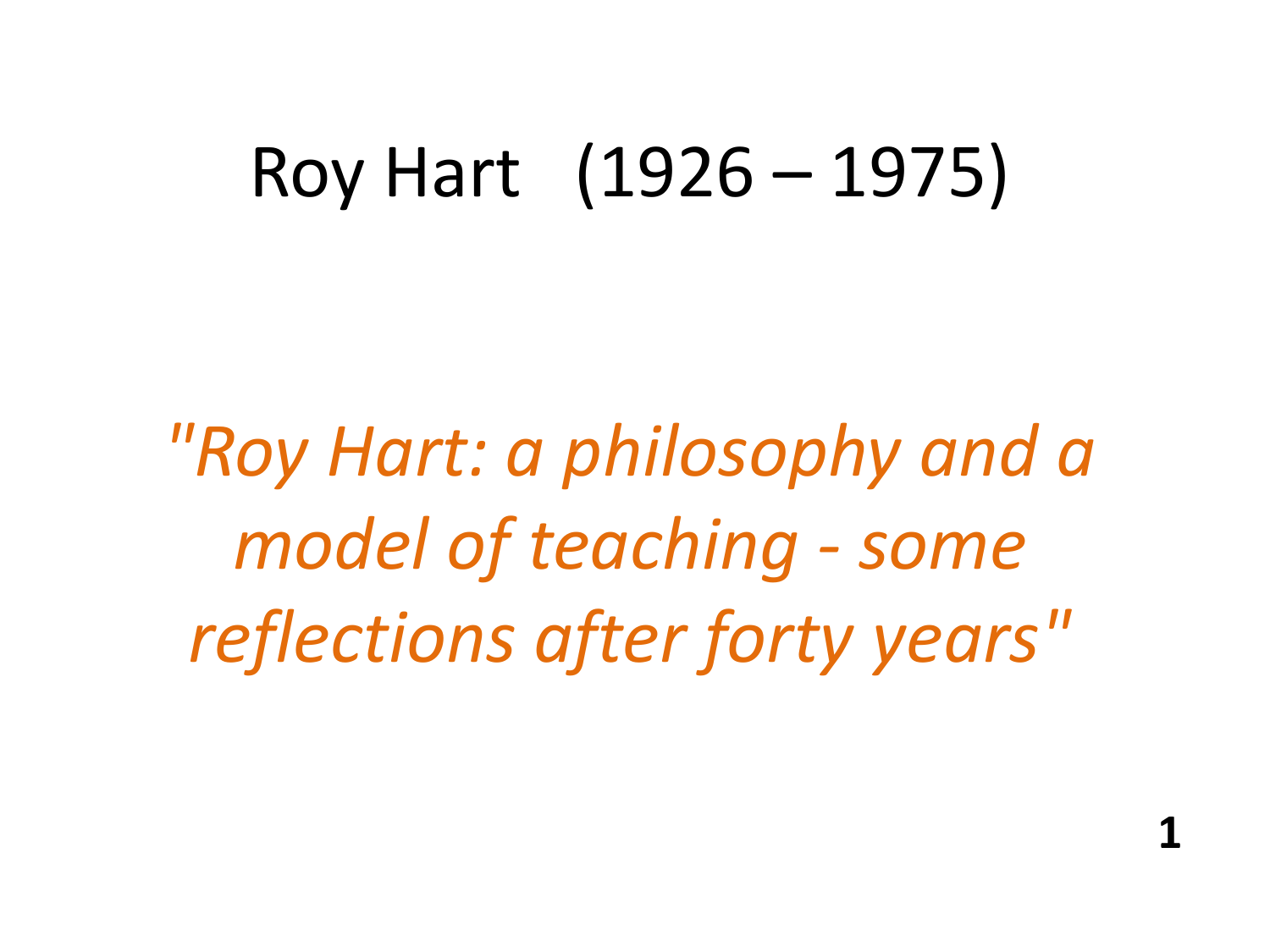# Roy Hart (1926 – 1975)

*"Roy Hart: a philosophy and a model of teaching - some reflections after forty years"*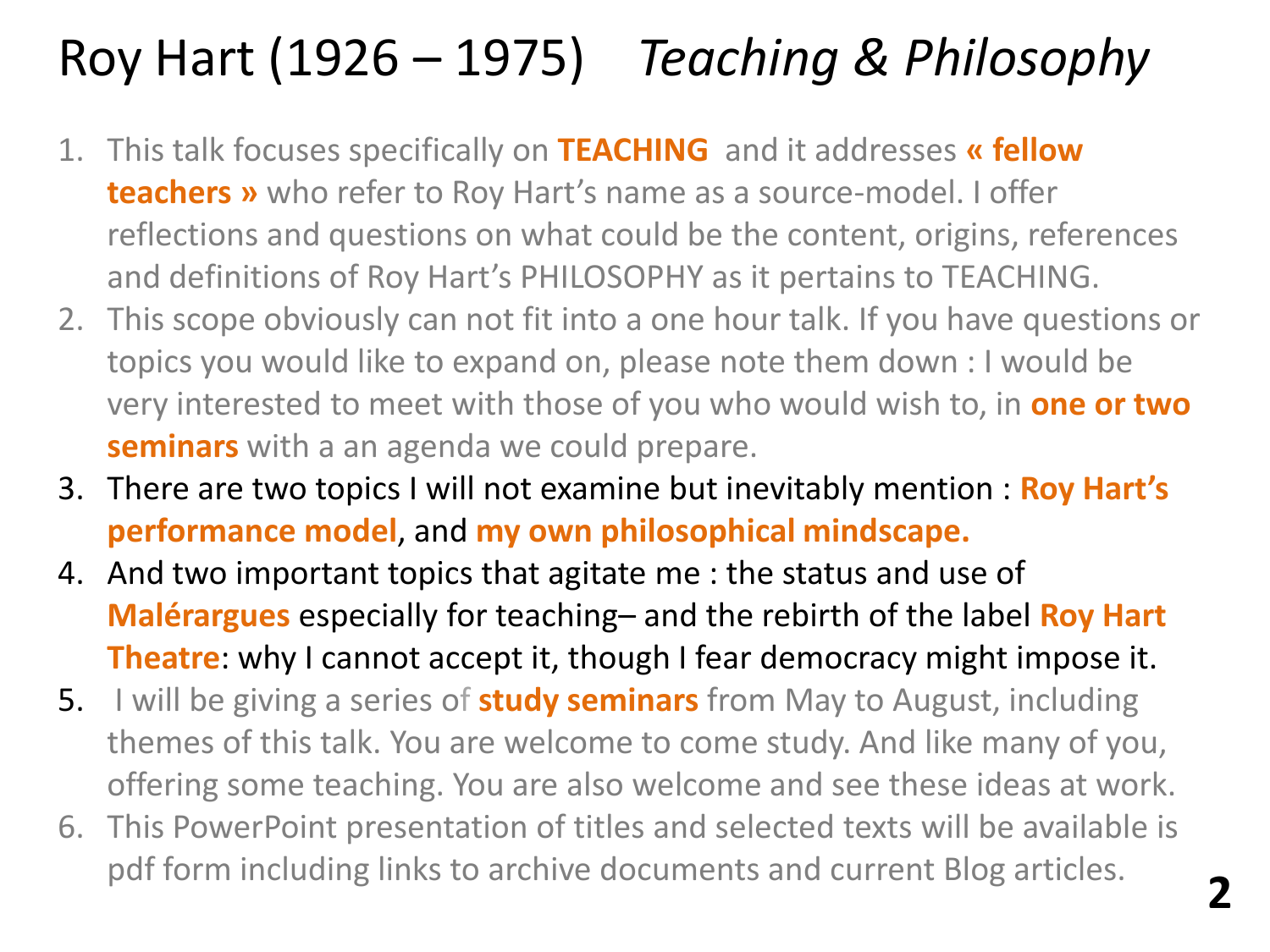# Roy Hart (1926 – 1975) *Teaching & Philosophy*

- 1. This talk focuses specifically on **TEACHING** and it addresses **« fellow teachers »** who refer to Roy Hart's name as a source-model. I offer reflections and questions on what could be the content, origins, references and definitions of Roy Hart's PHILOSOPHY as it pertains to TEACHING.
- 2. This scope obviously can not fit into a one hour talk. If you have questions or topics you would like to expand on, please note them down : I would be very interested to meet with those of you who would wish to, in **one or two seminars** with a an agenda we could prepare.
- 3. There are two topics I will not examine but inevitably mention : **Roy Hart's performance model**, and **my own philosophical mindscape.**
- 4. And two important topics that agitate me : the status and use of **Malérargues** especially for teaching– and the rebirth of the label **Roy Hart Theatre:** why I cannot accept it, though I fear democracy might impose it.
- 5. I will be giving a series of **study seminars** from May to August, including themes of this talk. You are welcome to come study. And like many of you, offering some teaching. You are also welcome and see these ideas at work.
- 6. This PowerPoint presentation of titles and selected texts will be available is pdf form including links to archive documents and current Blog articles. **2**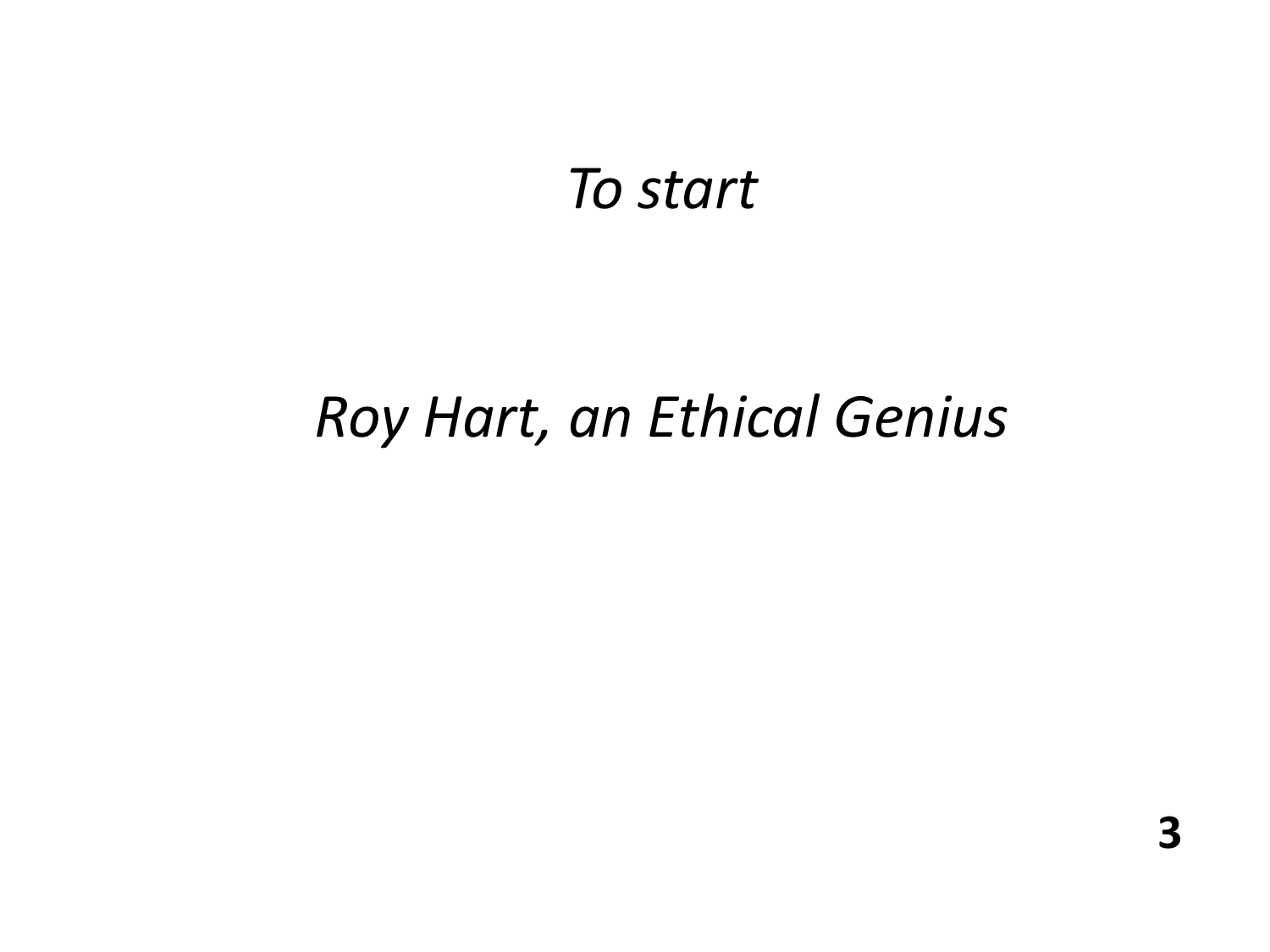# *To start*

# *Roy Hart, an Ethical Genius*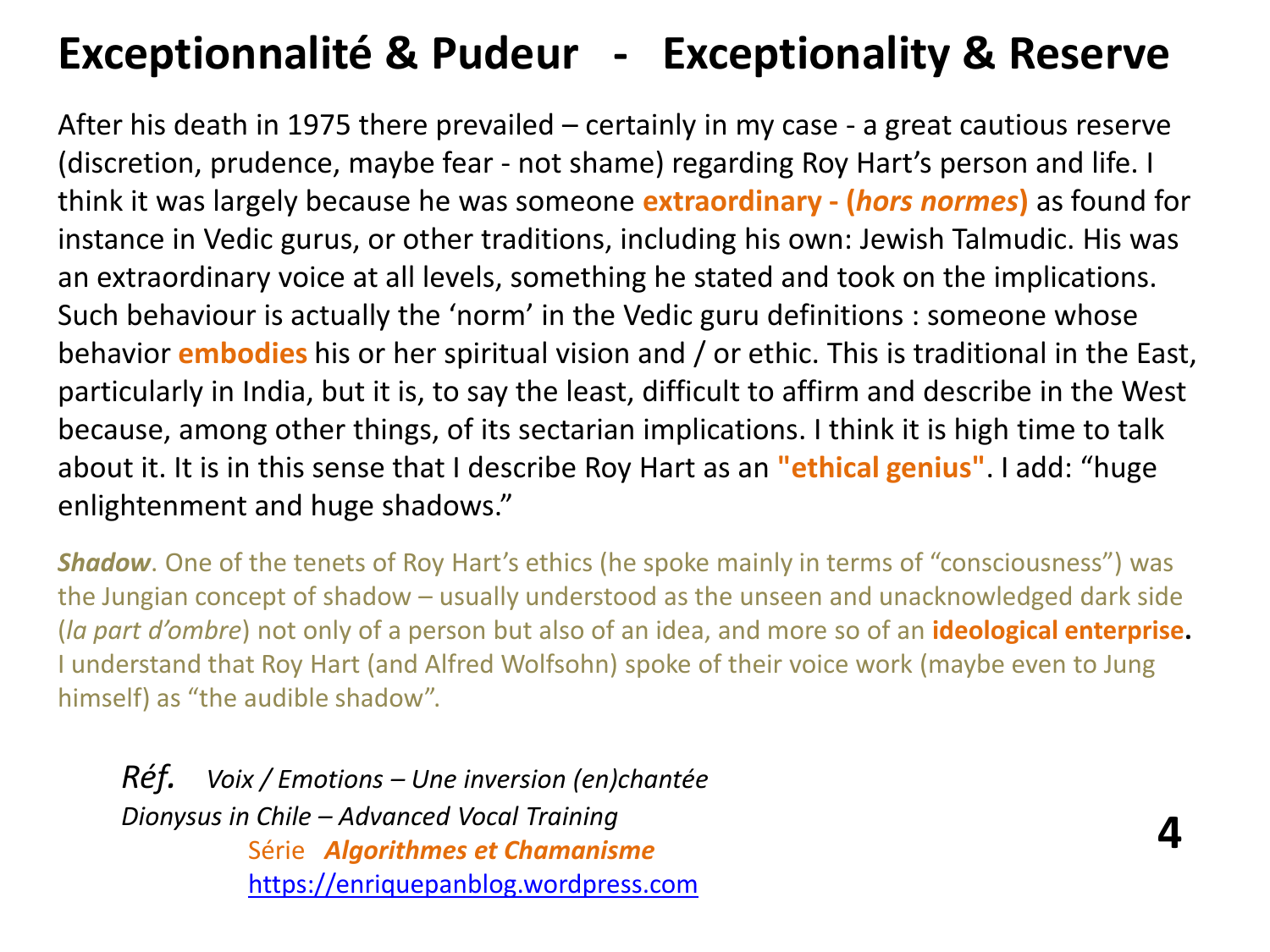## **Exceptionnalité & Pudeur - Exceptionality & Reserve**

After his death in 1975 there prevailed – certainly in my case - a great cautious reserve (discretion, prudence, maybe fear - not shame) regarding Roy Hart's person and life. I think it was largely because he was someone **extraordinary - (***hors normes***)** as found for instance in Vedic gurus, or other traditions, including his own: Jewish Talmudic. His was an extraordinary voice at all levels, something he stated and took on the implications. Such behaviour is actually the 'norm' in the Vedic guru definitions : someone whose behavior **embodies** his or her spiritual vision and / or ethic. This is traditional in the East, particularly in India, but it is, to say the least, difficult to affirm and describe in the West because, among other things, of its sectarian implications. I think it is high time to talk about it. It is in this sense that I describe Roy Hart as an **"ethical genius"**. I add: "huge enlightenment and huge shadows."

**Shadow**. One of the tenets of Roy Hart's ethics (he spoke mainly in terms of "consciousness") was the Jungian concept of shadow – usually understood as the unseen and unacknowledged dark side (*la part d'ombre*) not only of a person but also of an idea, and more so of an **ideological enterprise.**  I understand that Roy Hart (and Alfred Wolfsohn) spoke of their voice work (maybe even to Jung himself) as "the audible shadow".

**4**

*Réf. Voix / Emotions – Une inversion (en)chantée Dionysus in Chile – Advanced Vocal Training* Série*Algorithmes et Chamanisme* [https://enriquepanblog.wordpress.com](https://enriquepanblog.wordpress.com/)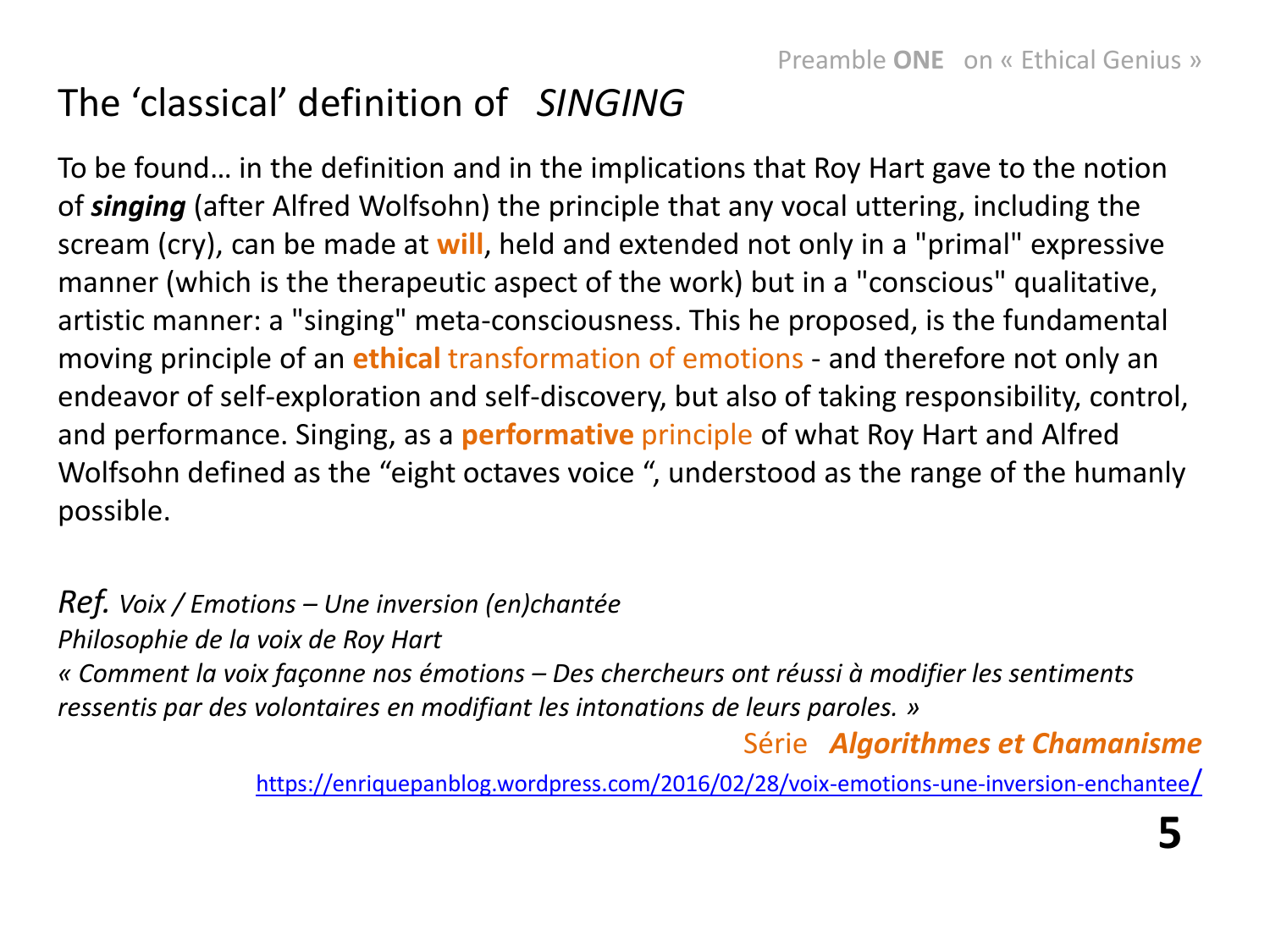## The 'classical' definition of *SINGING*

To be found… in the definition and in the implications that Roy Hart gave to the notion of *singing* (after Alfred Wolfsohn) the principle that any vocal uttering, including the scream (cry), can be made at **will**, held and extended not only in a "primal" expressive manner (which is the therapeutic aspect of the work) but in a "conscious" qualitative, artistic manner: a "singing" meta-consciousness. This he proposed, is the fundamental moving principle of an **ethical** transformation of emotions - and therefore not only an endeavor of self-exploration and self-discovery, but also of taking responsibility, control, and performance. Singing, as a **performative** principle of what Roy Hart and Alfred Wolfsohn defined as the "eight octaves voice ", understood as the range of the humanly possible.

#### *Ref. Voix / Emotions – Une inversion (en)chantée*

*Philosophie de la voix de Roy Hart*

*« Comment la voix façonne nos émotions – Des chercheurs ont réussi à modifier les sentiments ressentis par des volontaires en modifiant les intonations de leurs paroles. »*

#### Série*Algorithmes et Chamanisme*

[https://enriquepanblog.wordpress.com/2016/02/28/voix-emotions-une-inversion-enchantee](https://enriquepanblog.wordpress.com/2016/02/28/voix-emotions-une-inversion-enchantee/)[/](https://enriquepanblog.wordpress.com/2016/02/28/voix-emotions-une-inversion-enchantee/)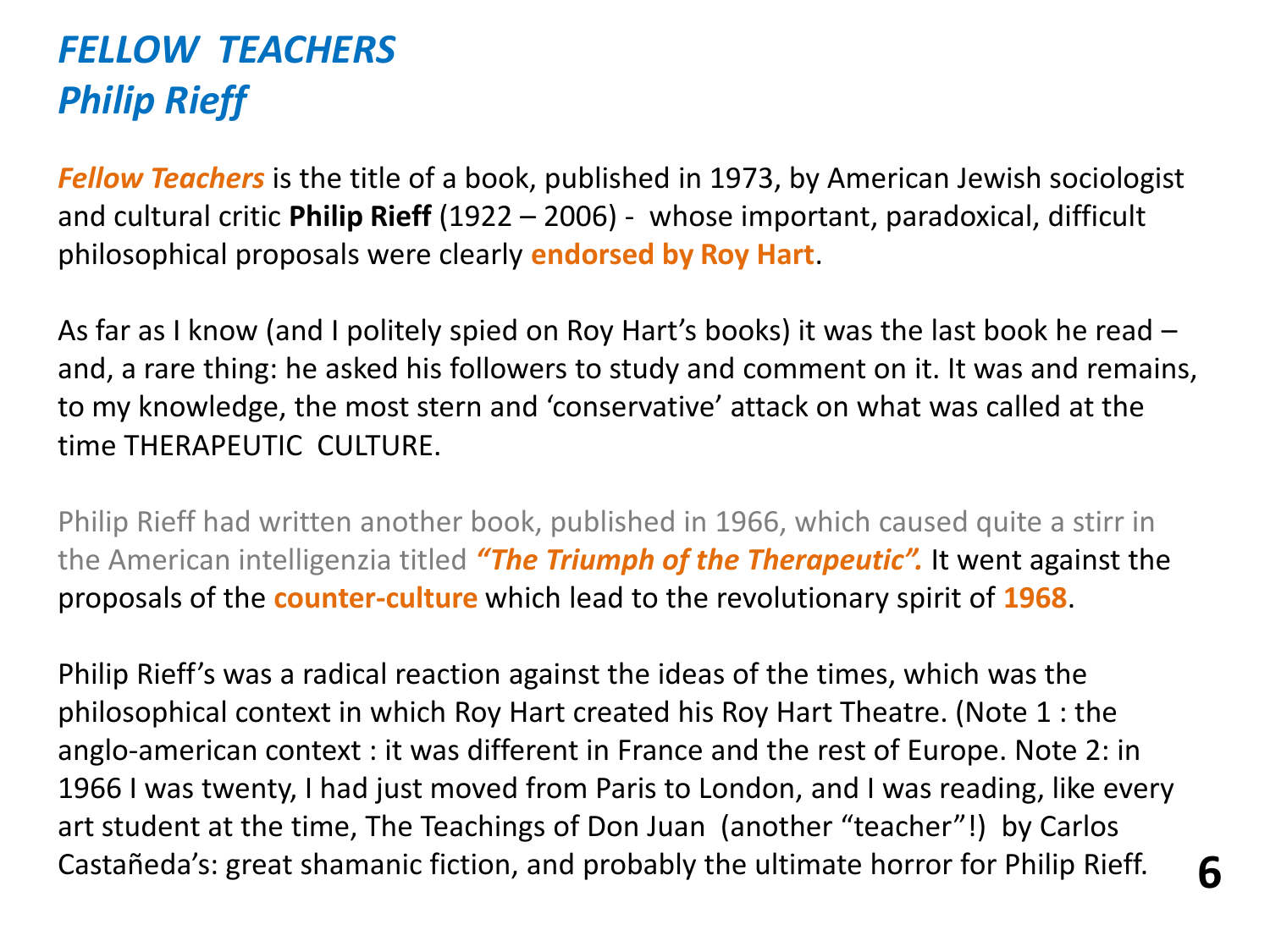## *FELLOW TEACHERS Philip Rieff*

*Fellow Teachers* is the title of a book, published in 1973, by American Jewish sociologist and cultural critic **Philip Rieff** (1922 – 2006) - whose important, paradoxical, difficult philosophical proposals were clearly **endorsed by Roy Hart**.

As far as I know (and I politely spied on Roy Hart's books) it was the last book he read – and, a rare thing: he asked his followers to study and comment on it. It was and remains, to my knowledge, the most stern and 'conservative' attack on what was called at the time THERAPEUTIC CULTURE.

Philip Rieff had written another book, published in 1966, which caused quite a stirr in the American intelligenzia titled *"The Triumph of the Therapeutic".* It went against the proposals of the **counter-culture** which lead to the revolutionary spirit of **1968**.

Philip Rieff's was a radical reaction against the ideas of the times, which was the philosophical context in which Roy Hart created his Roy Hart Theatre. (Note 1 : the anglo-american context : it was different in France and the rest of Europe. Note 2: in 1966 I was twenty, I had just moved from Paris to London, and I was reading, like every art student at the time, The Teachings of Don Juan (another "teacher"!) by Carlos Castañeda's: great shamanic fiction, and probably the ultimate horror for Philip Rieff. **6**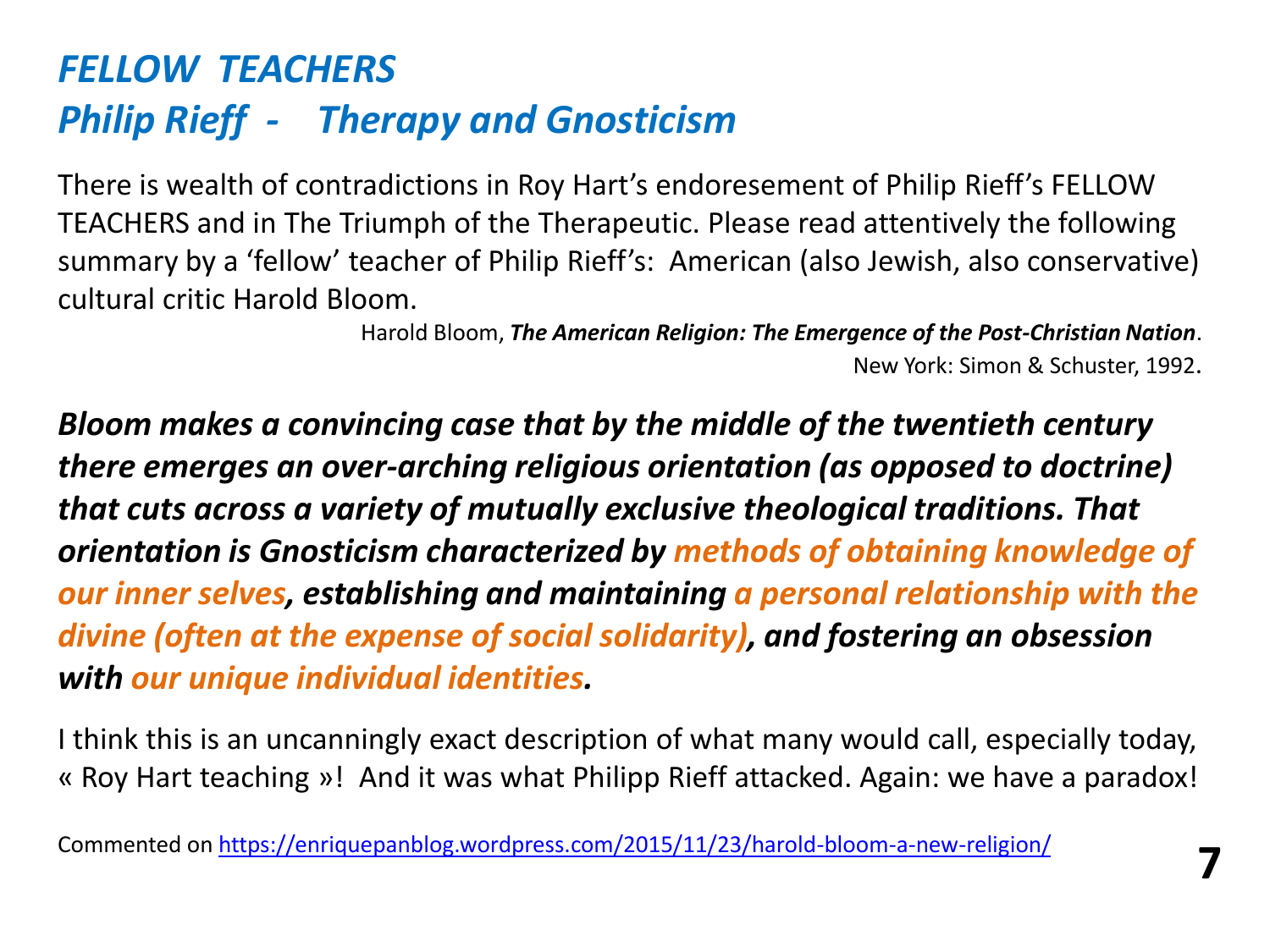## *FELLOW TEACHERS Philip Rieff - Therapy and Gnosticism*

There is wealth of contradictions in Roy Hart's endoresement of Philip Rieff's FELLOW TEACHERS and in The Triumph of the Therapeutic. Please read attentively the following summary by a 'fellow' teacher of Philip Rieff's: American (also Jewish, also conservative) cultural critic Harold Bloom.

> Harold Bloom, *The American Religion: The Emergence of the Post-Christian Nation*. New York: Simon & Schuster, 1992.

*Bloom makes a convincing case that by the middle of the twentieth century there emerges an over-arching religious orientation (as opposed to doctrine) that cuts across a variety of mutually exclusive theological traditions. That orientation is Gnosticism characterized by methods of obtaining knowledge of our inner selves, establishing and maintaining a personal relationship with the divine (often at the expense of social solidarity), and fostering an obsession with our unique individual identities.*

I think this is an uncanningly exact description of what many would call, especially today, « Roy Hart teaching »! And it was what Philipp Rieff attacked. Again: we have a paradox!

Commented on <https://enriquepanblog.wordpress.com/2015/11/23/harold-bloom-a-new-religion/> **7**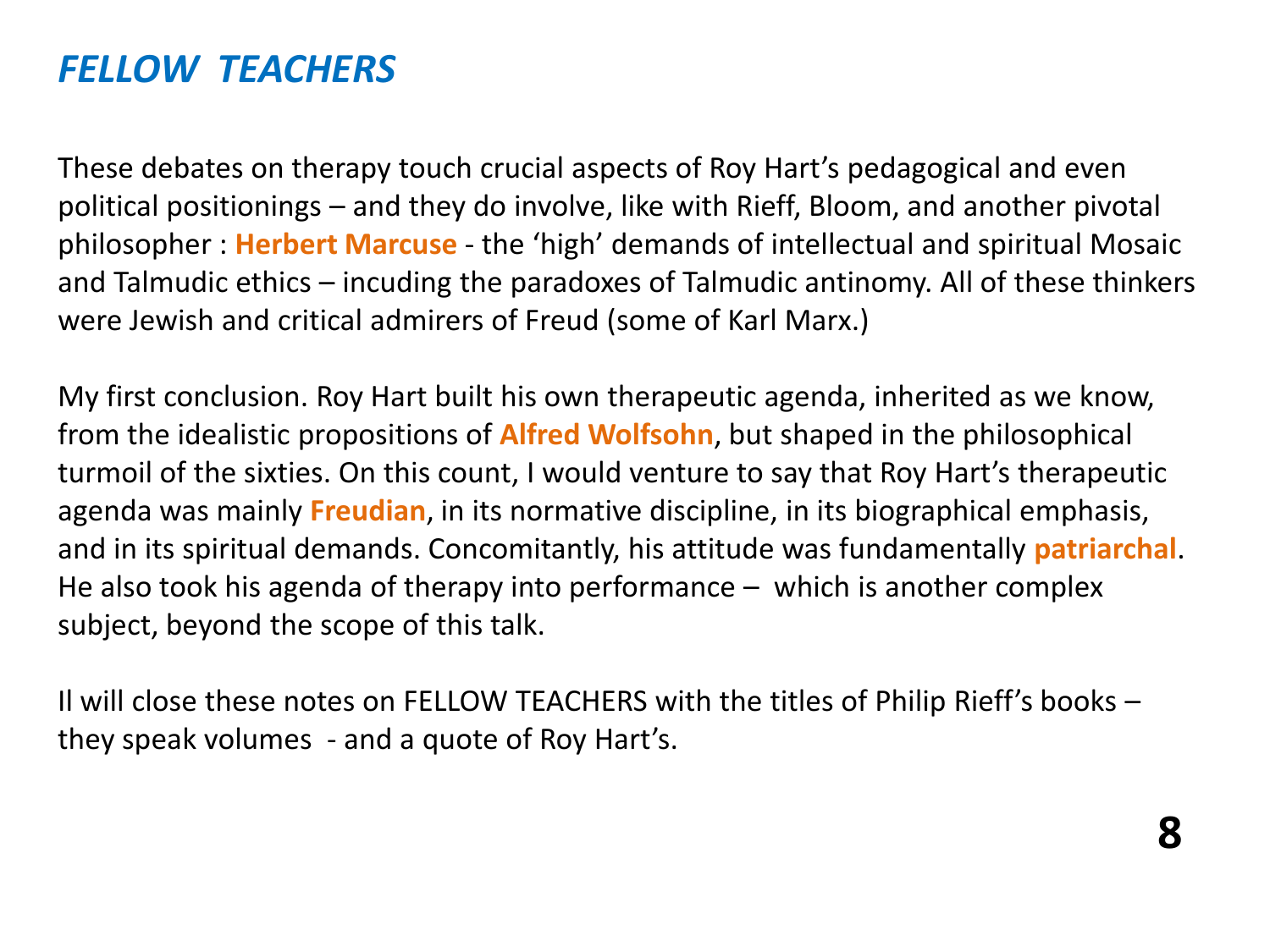### *FELLOW TEACHERS*

These debates on therapy touch crucial aspects of Roy Hart's pedagogical and even political positionings – and they do involve, like with Rieff, Bloom, and another pivotal philosopher : **Herbert Marcuse** - the 'high' demands of intellectual and spiritual Mosaic and Talmudic ethics – incuding the paradoxes of Talmudic antinomy. All of these thinkers were Jewish and critical admirers of Freud (some of Karl Marx.)

My first conclusion. Roy Hart built his own therapeutic agenda, inherited as we know, from the idealistic propositions of **Alfred Wolfsohn**, but shaped in the philosophical turmoil of the sixties. On this count, I would venture to say that Roy Hart's therapeutic agenda was mainly **Freudian**, in its normative discipline, in its biographical emphasis, and in its spiritual demands. Concomitantly, his attitude was fundamentally **patriarchal**. He also took his agenda of therapy into performance – which is another complex subject, beyond the scope of this talk.

Il will close these notes on FELLOW TEACHERS with the titles of Philip Rieff's books – they speak volumes - and a quote of Roy Hart's.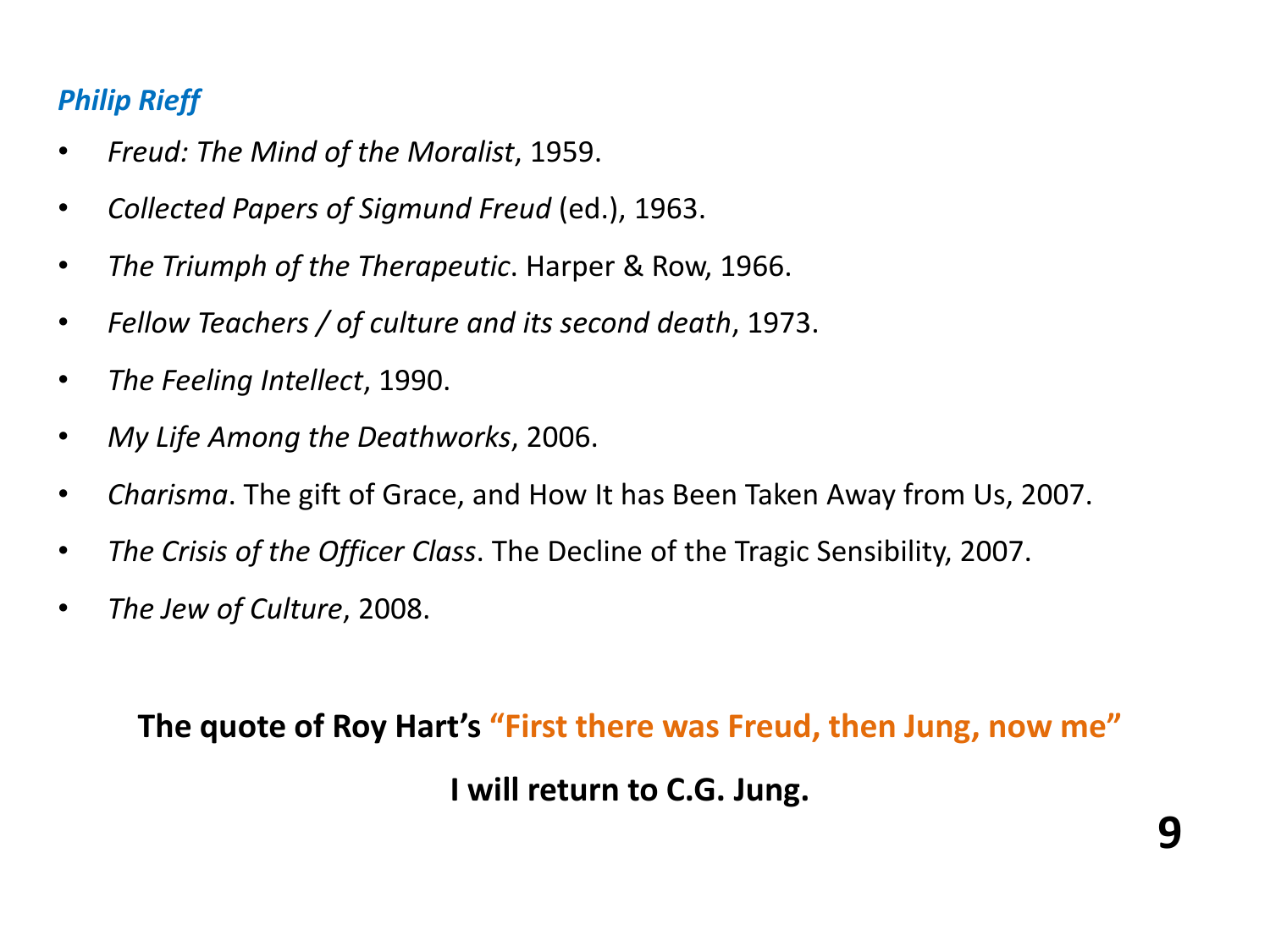### *Philip Rieff*

- *Freud: The Mind of the Moralist*, 1959.
- *Collected Papers of Sigmund Freud* (ed.), 1963.
- *The Triumph of the Therapeutic*. Harper & Row, 1966.
- *Fellow Teachers / of culture and its second death*, 1973.
- *The Feeling Intellect*, 1990.
- *My Life Among the Deathworks*, 2006.
- *Charisma*. The gift of Grace, and How It has Been Taken Away from Us, 2007.
- *The Crisis of the Officer Class*. The Decline of the Tragic Sensibility, 2007.
- *The Jew of Culture*, 2008.

**The quote of Roy Hart's "First there was Freud, then Jung, now me" I will return to C.G. Jung.**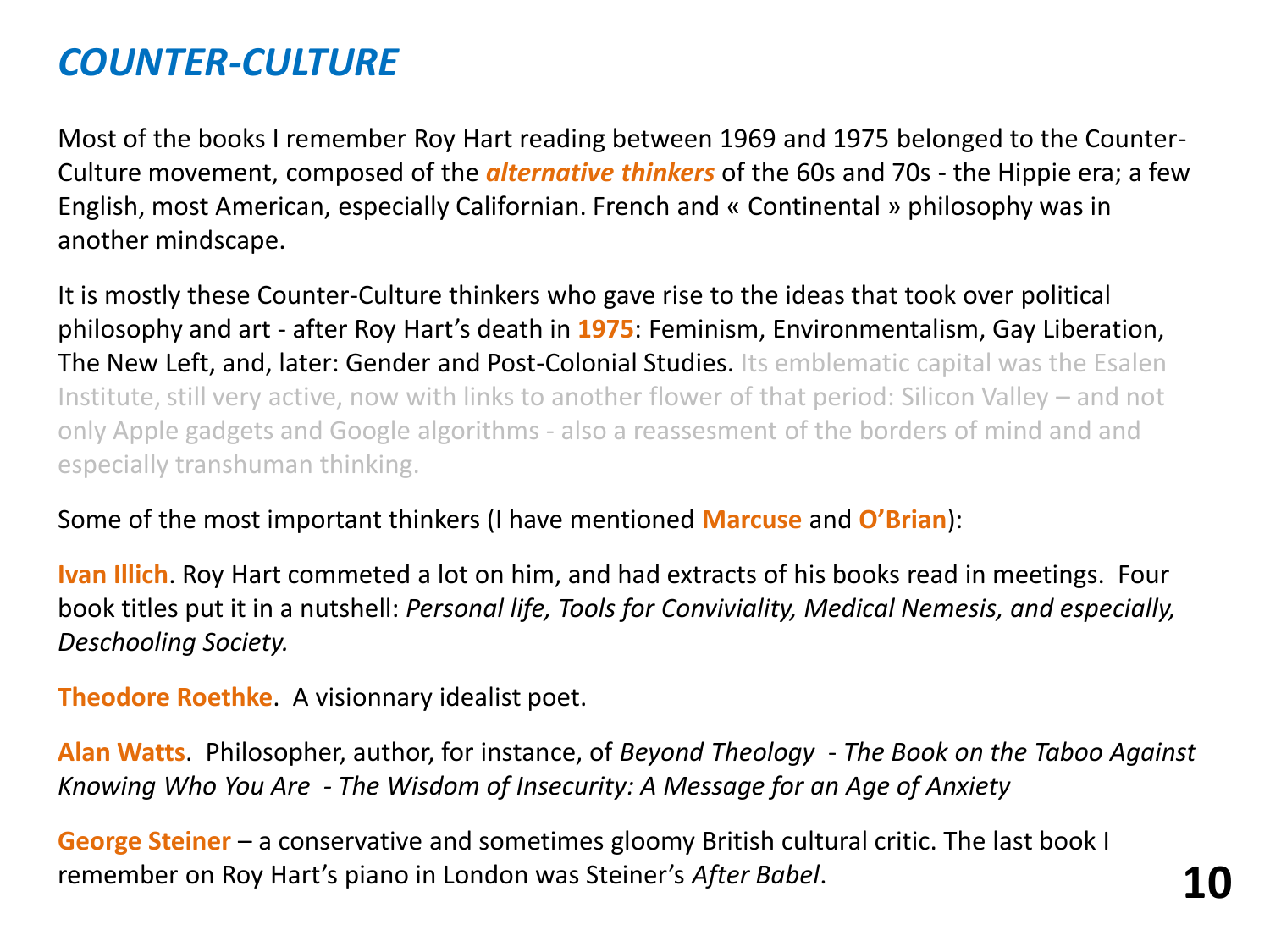## *COUNTER-CULTURE*

Most of the books I remember Roy Hart reading between 1969 and 1975 belonged to the Counter-Culture movement, composed of the *alternative thinkers* of the 60s and 70s - the Hippie era; a few English, most American, especially Californian. French and « Continental » philosophy was in another mindscape.

It is mostly these Counter-Culture thinkers who gave rise to the ideas that took over political philosophy and art - after Roy Hart's death in **1975**: Feminism, Environmentalism, Gay Liberation, The New Left, and, later: Gender and Post-Colonial Studies. Its emblematic capital was the Esalen Institute, still very active, now with links to another flower of that period: Silicon Valley – and not only Apple gadgets and Google algorithms - also a reassesment of the borders of mind and and especially transhuman thinking.

#### Some of the most important thinkers (I have mentioned **Marcuse** and **O'Brian**):

**Ivan Illich**. Roy Hart commeted a lot on him, and had extracts of his books read in meetings. Four book titles put it in a nutshell: *Personal life, Tools for Conviviality, Medical Nemesis, and especially, Deschooling Society.*

**Theodore Roethke**. A visionnary idealist poet.

**Alan Watts**. Philosopher, author, for instance, of *Beyond Theology* - *The Book on the Taboo Against Knowing Who You Are - The Wisdom of Insecurity: A Message for an Age of Anxiety*

**George Steiner** – a conservative and sometimes gloomy British cultural critic. The last book I remember on Roy Hart's piano in London was Steiner's *After Babel*. **10**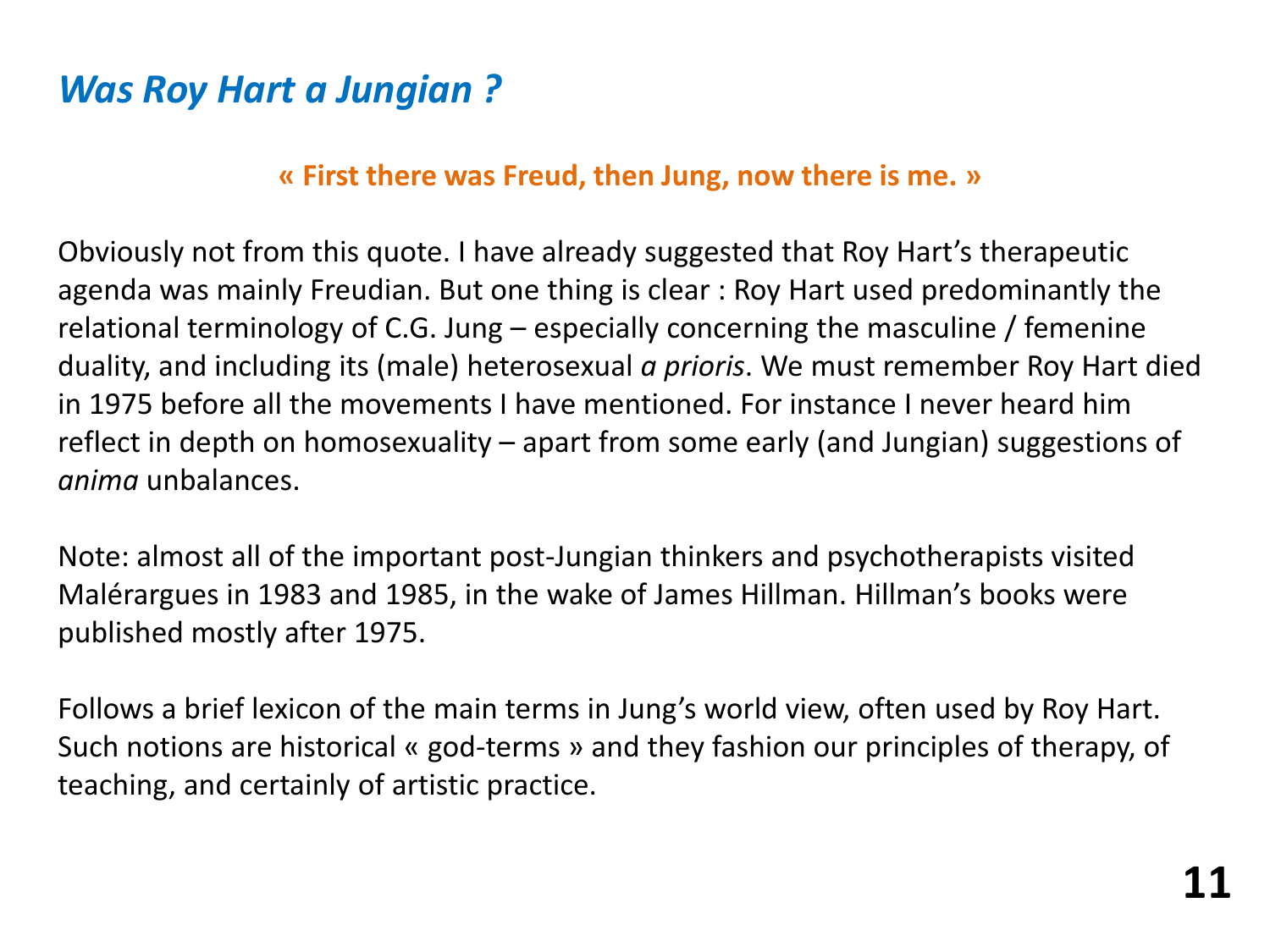## *Was Roy Hart a Jungian ?*

### **« First there was Freud, then Jung, now there is me. »**

Obviously not from this quote. I have already suggested that Roy Hart's therapeutic agenda was mainly Freudian. But one thing is clear : Roy Hart used predominantly the relational terminology of C.G. Jung – especially concerning the masculine / femenine duality, and including its (male) heterosexual *a prioris*. We must remember Roy Hart died in 1975 before all the movements I have mentioned. For instance I never heard him reflect in depth on homosexuality – apart from some early (and Jungian) suggestions of *anima* unbalances.

Note: almost all of the important post-Jungian thinkers and psychotherapists visited Malérargues in 1983 and 1985, in the wake of James Hillman. Hillman's books were published mostly after 1975.

Follows a brief lexicon of the main terms in Jung's world view, often used by Roy Hart. Such notions are historical « god-terms » and they fashion our principles of therapy, of teaching, and certainly of artistic practice.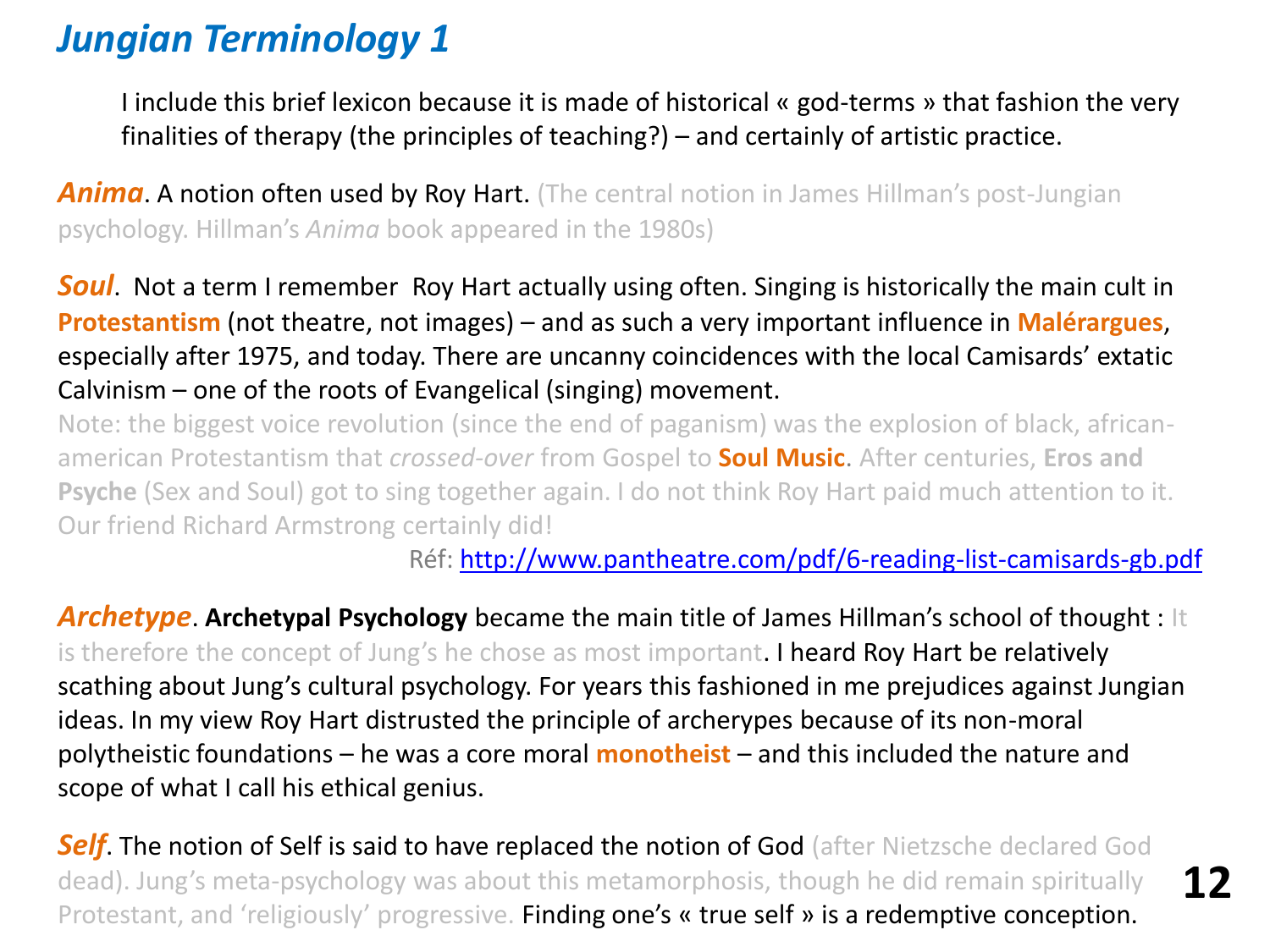## *Jungian Terminology 1*

I include this brief lexicon because it is made of historical « god-terms » that fashion the very finalities of therapy (the principles of teaching?) – and certainly of artistic practice.

**Anima**. A notion often used by Roy Hart. (The central notion in James Hillman's post-Jungian psychology. Hillman's *Anima* book appeared in the 1980s)

**Soul.** Not a term I remember Roy Hart actually using often. Singing is historically the main cult in **Protestantism** (not theatre, not images) – and as such a very important influence in **Malérargues**, especially after 1975, and today. There are uncanny coincidences with the local Camisards' extatic Calvinism – one of the roots of Evangelical (singing) movement.

Note: the biggest voice revolution (since the end of paganism) was the explosion of black, africanamerican Protestantism that *crossed-over* from Gospel to **Soul Music**. After centuries, **Eros and Psyche** (Sex and Soul) got to sing together again. I do not think Roy Hart paid much attention to it. Our friend Richard Armstrong certainly did!

Réf: <http://www.pantheatre.com/pdf/6-reading-list-camisards-gb.pdf>

**12**

*Archetype*. **Archetypal Psychology** became the main title of James Hillman's school of thought : It is therefore the concept of Jung's he chose as most important. I heard Roy Hart be relatively scathing about Jung's cultural psychology. For years this fashioned in me prejudices against Jungian ideas. In my view Roy Hart distrusted the principle of archerypes because of its non-moral polytheistic foundations – he was a core moral **monotheist** – and this included the nature and scope of what I call his ethical genius.

**Self**. The notion of Self is said to have replaced the notion of God (after Nietzsche declared God dead). Jung's meta-psychology was about this metamorphosis, though he did remain spiritually Protestant, and 'religiously' progressive. Finding one's « true self » is a redemptive conception.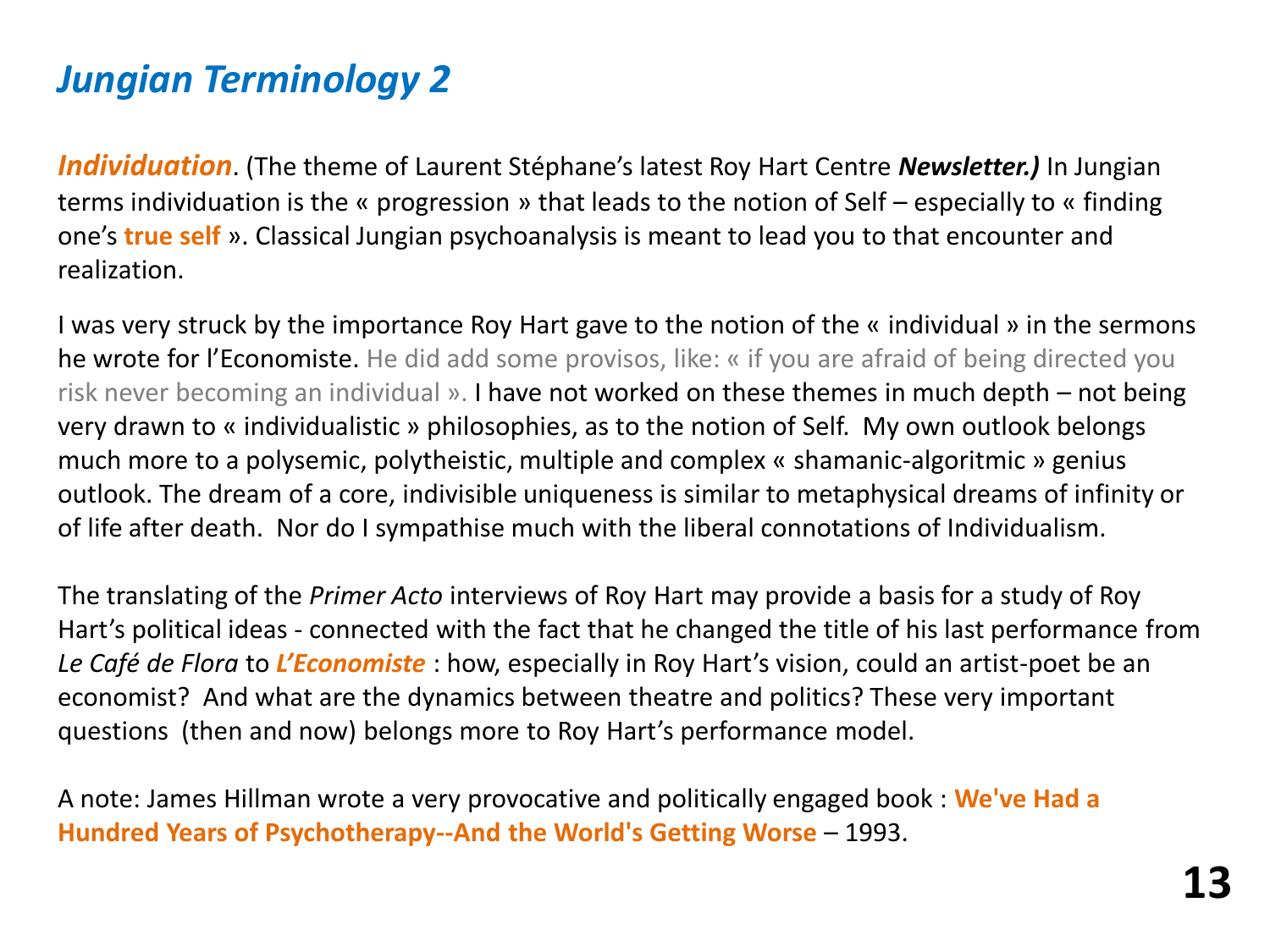## *Jungian Terminology 2*

*Individuation*. (The theme of Laurent Stéphane's latest Roy Hart Centre *Newsletter.)* In Jungian terms individuation is the « progression » that leads to the notion of Self – especially to « finding one's **true self** ». Classical Jungian psychoanalysis is meant to lead you to that encounter and realization.

I was very struck by the importance Roy Hart gave to the notion of the « individual » in the sermons he wrote for l'Economiste. He did add some provisos, like: « if you are afraid of being directed you risk never becoming an individual ». I have not worked on these themes in much depth – not being very drawn to « individualistic » philosophies, as to the notion of Self. My own outlook belongs much more to a polysemic, polytheistic, multiple and complex « shamanic-algoritmic » genius outlook. The dream of a core, indivisible uniqueness is similar to metaphysical dreams of infinity or of life after death. Nor do I sympathise much with the liberal connotations of Individualism.

The translating of the *Primer Acto* interviews of Roy Hart may provide a basis for a study of Roy Hart's political ideas - connected with the fact that he changed the title of his last performance from *Le Café de Flora* to *L'Economiste* : how, especially in Roy Hart's vision, could an artist-poet be an economist? And what are the dynamics between theatre and politics? These very important questions (then and now) belongs more to Roy Hart's performance model.

A note: James Hillman wrote a very provocative and politically engaged book : **We've Had a Hundred Years of Psychotherapy--And the World's Getting Worse** – 1993.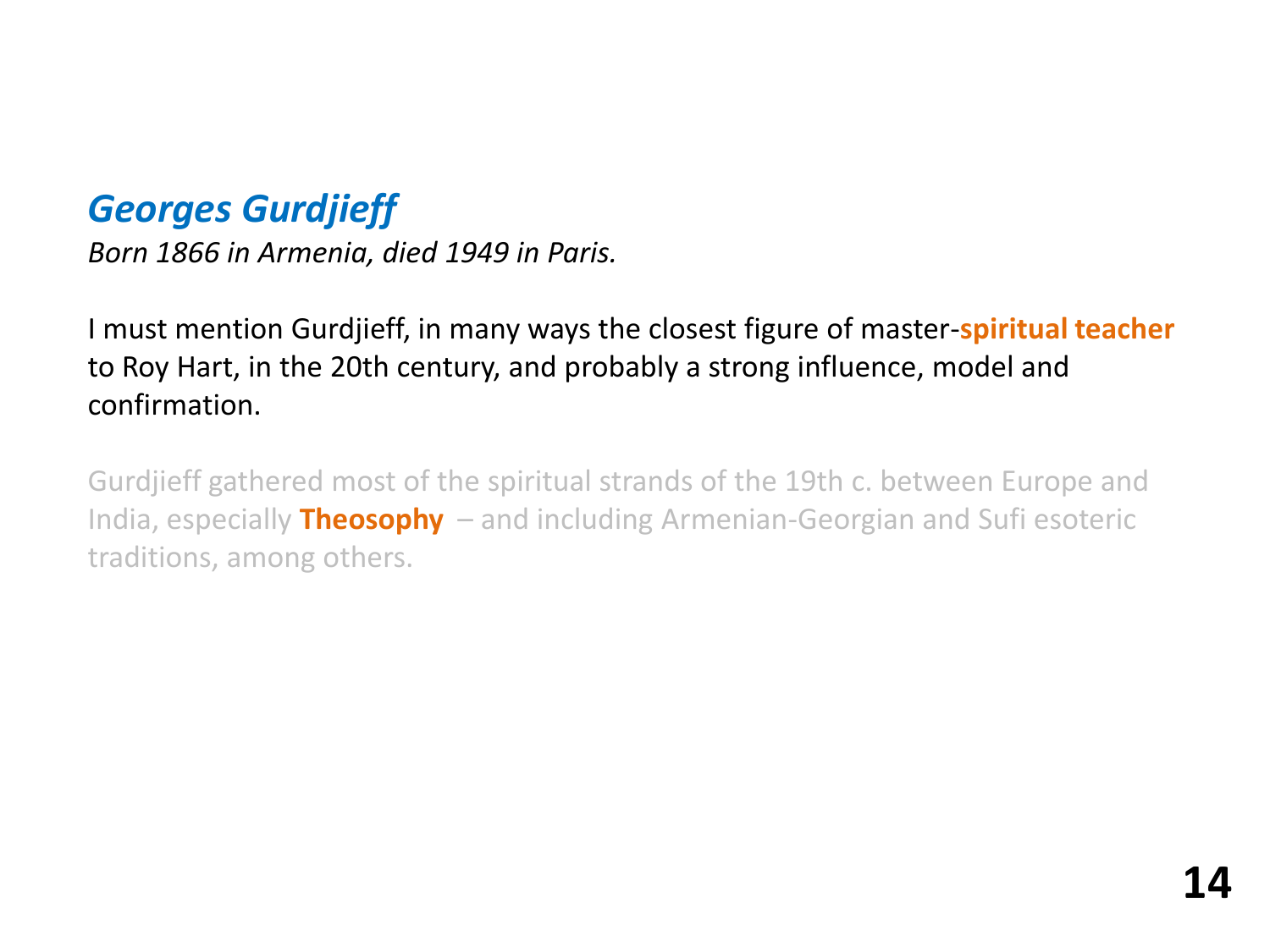## *Georges Gurdjieff*

*Born 1866 in Armenia, died 1949 in Paris.*

I must mention Gurdjieff, in many ways the closest figure of master-**spiritual teacher** to Roy Hart, in the 20th century, and probably a strong influence, model and confirmation.

Gurdjieff gathered most of the spiritual strands of the 19th c. between Europe and India, especially **Theosophy** – and including Armenian-Georgian and Sufi esoteric traditions, among others.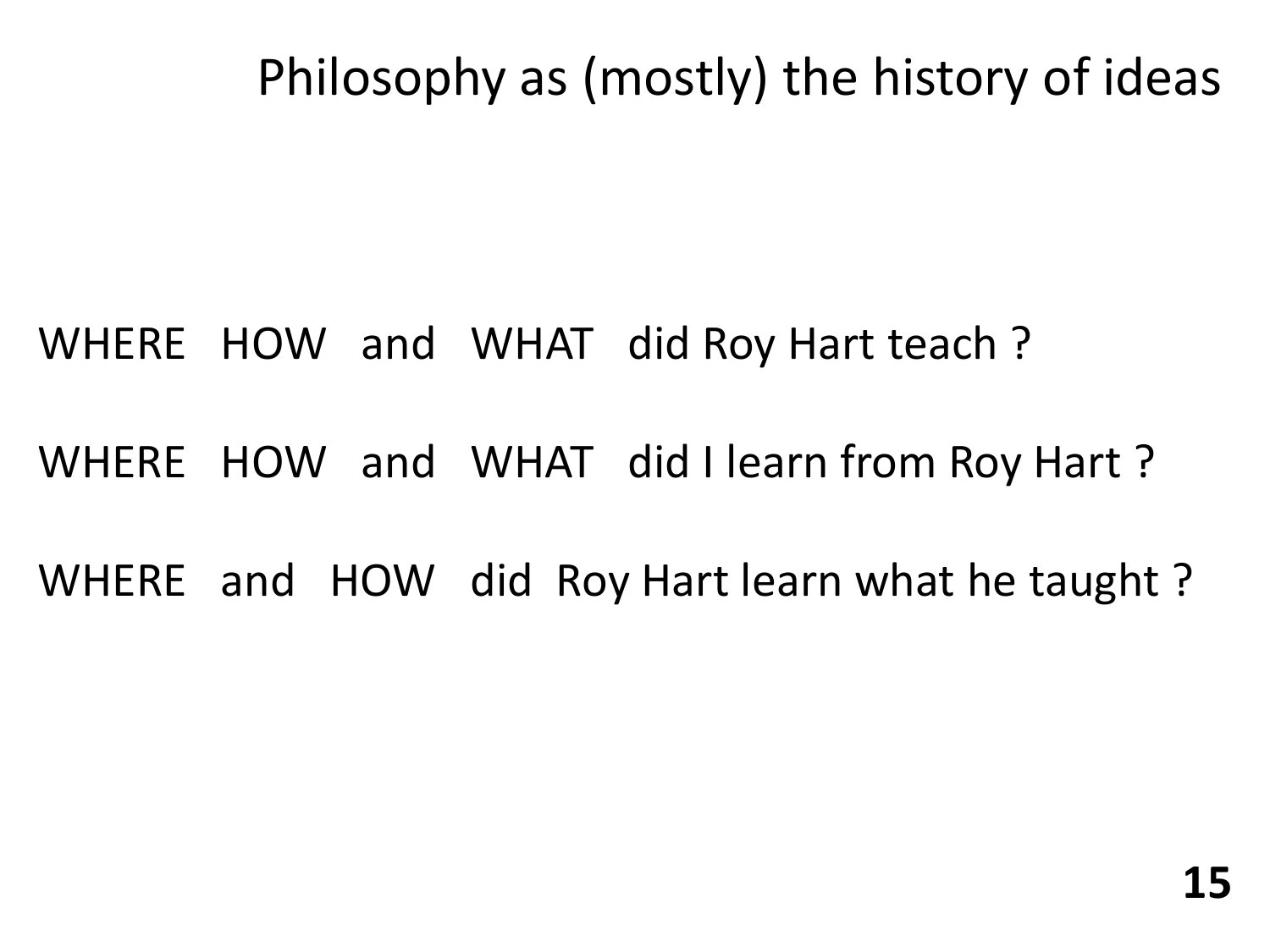# Philosophy as (mostly) the history of ideas

# WHERE HOW and WHAT did Roy Hart teach ?

WHERE HOW and WHAT did I learn from Roy Hart ?

# WHERE and HOW did Roy Hart learn what he taught ?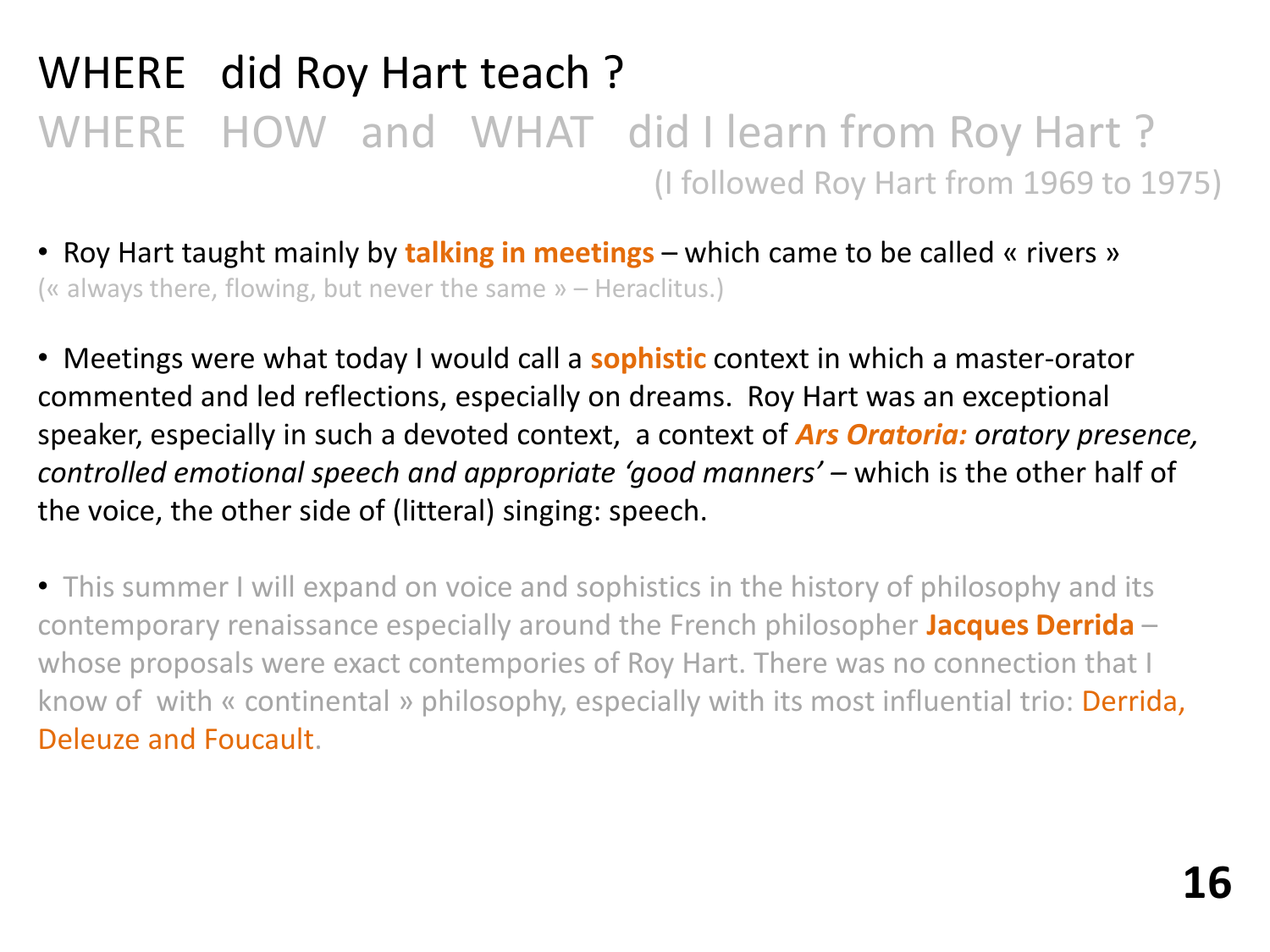# WHERE did Roy Hart teach ? WHERE HOW and WHAT did I learn from Roy Hart ? (I followed Roy Hart from 1969 to 1975)

- Roy Hart taught mainly by **talking in meetings**  which came to be called « rivers » (« always there, flowing, but never the same » – Heraclitus.)
- Meetings were what today I would call a **sophistic** context in which a master-orator commented and led reflections, especially on dreams. Roy Hart was an exceptional speaker, especially in such a devoted context, a context of *Ars Oratoria: oratory presence, controlled emotional speech and appropriate 'good manners' –* which is the other half of the voice, the other side of (litteral) singing: speech.
- This summer I will expand on voice and sophistics in the history of philosophy and its contemporary renaissance especially around the French philosopher **Jacques Derrida** – whose proposals were exact contempories of Roy Hart. There was no connection that I know of with « continental » philosophy, especially with its most influential trio: **Derrida,** Deleuze and Foucault.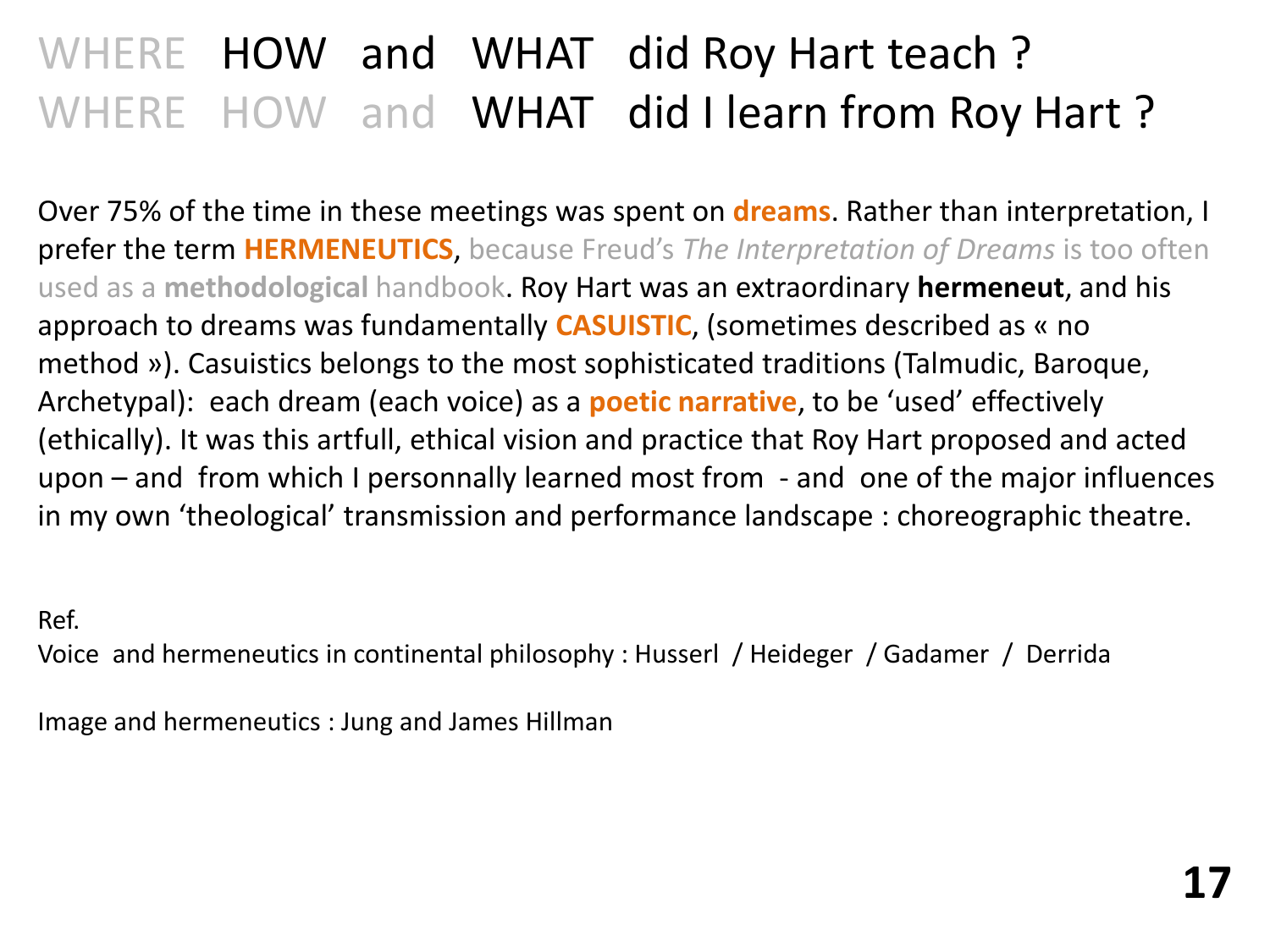# WHERE HOW and WHAT did Roy Hart teach ? WHERE HOW and WHAT did I learn from Roy Hart?

Over 75% of the time in these meetings was spent on **dreams**. Rather than interpretation, I prefer the term **HERMENEUTICS**, because Freud's *The Interpretation of Dreams* is too often used as a **methodological** handbook. Roy Hart was an extraordinary **hermeneut**, and his approach to dreams was fundamentally **CASUISTIC**, (sometimes described as « no method »). Casuistics belongs to the most sophisticated traditions (Talmudic, Baroque, Archetypal): each dream (each voice) as a **poetic narrative**, to be 'used' effectively (ethically). It was this artfull, ethical vision and practice that Roy Hart proposed and acted upon – and from which I personnally learned most from - and one of the major influences in my own 'theological' transmission and performance landscape : choreographic theatre.

Ref.

Voice and hermeneutics in continental philosophy : Husserl / Heideger / Gadamer / Derrida

Image and hermeneutics : Jung and James Hillman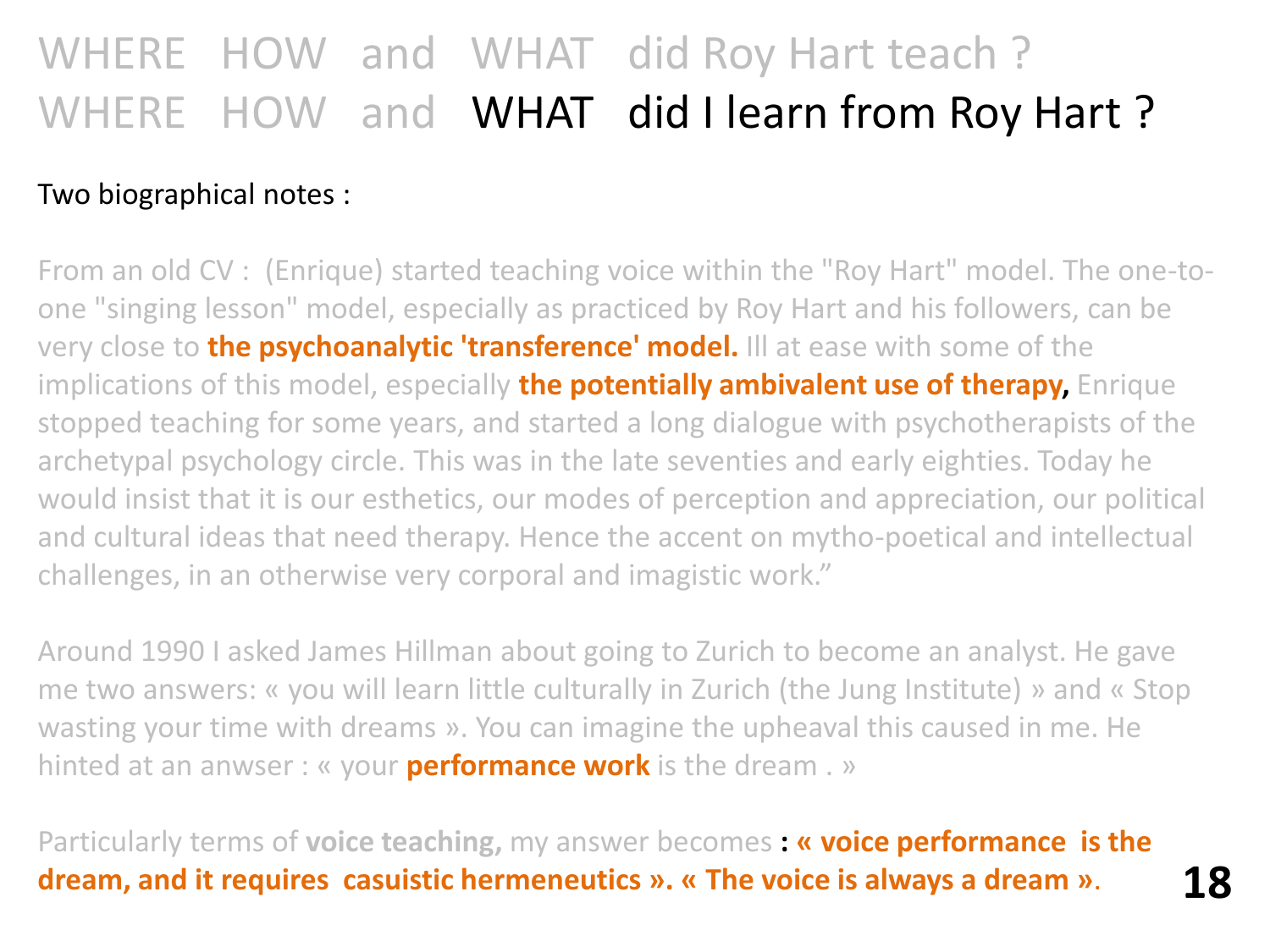# WHERE HOW and WHAT did Roy Hart teach ? WHERE HOW and WHAT did I learn from Roy Hart?

### Two biographical notes :

From an old CV : (Enrique) started teaching voice within the "Roy Hart" model. The one-toone "singing lesson" model, especially as practiced by Roy Hart and his followers, can be very close to **the psychoanalytic 'transference' model.** Ill at ease with some of the implications of this model, especially **the potentially ambivalent use of therapy,** Enrique stopped teaching for some years, and started a long dialogue with psychotherapists of the archetypal psychology circle. This was in the late seventies and early eighties. Today he would insist that it is our esthetics, our modes of perception and appreciation, our political and cultural ideas that need therapy. Hence the accent on mytho-poetical and intellectual challenges, in an otherwise very corporal and imagistic work."

Around 1990 I asked James Hillman about going to Zurich to become an analyst. He gave me two answers: « you will learn little culturally in Zurich (the Jung Institute) » and « Stop wasting your time with dreams ». You can imagine the upheaval this caused in me. He hinted at an anwser : « your **performance work** is the dream . »

Particularly terms of **voice teaching,** my answer becomes **: « voice performance is the dream, and it requires casuistic hermeneutics ». « The voice is always a dream »**. **18**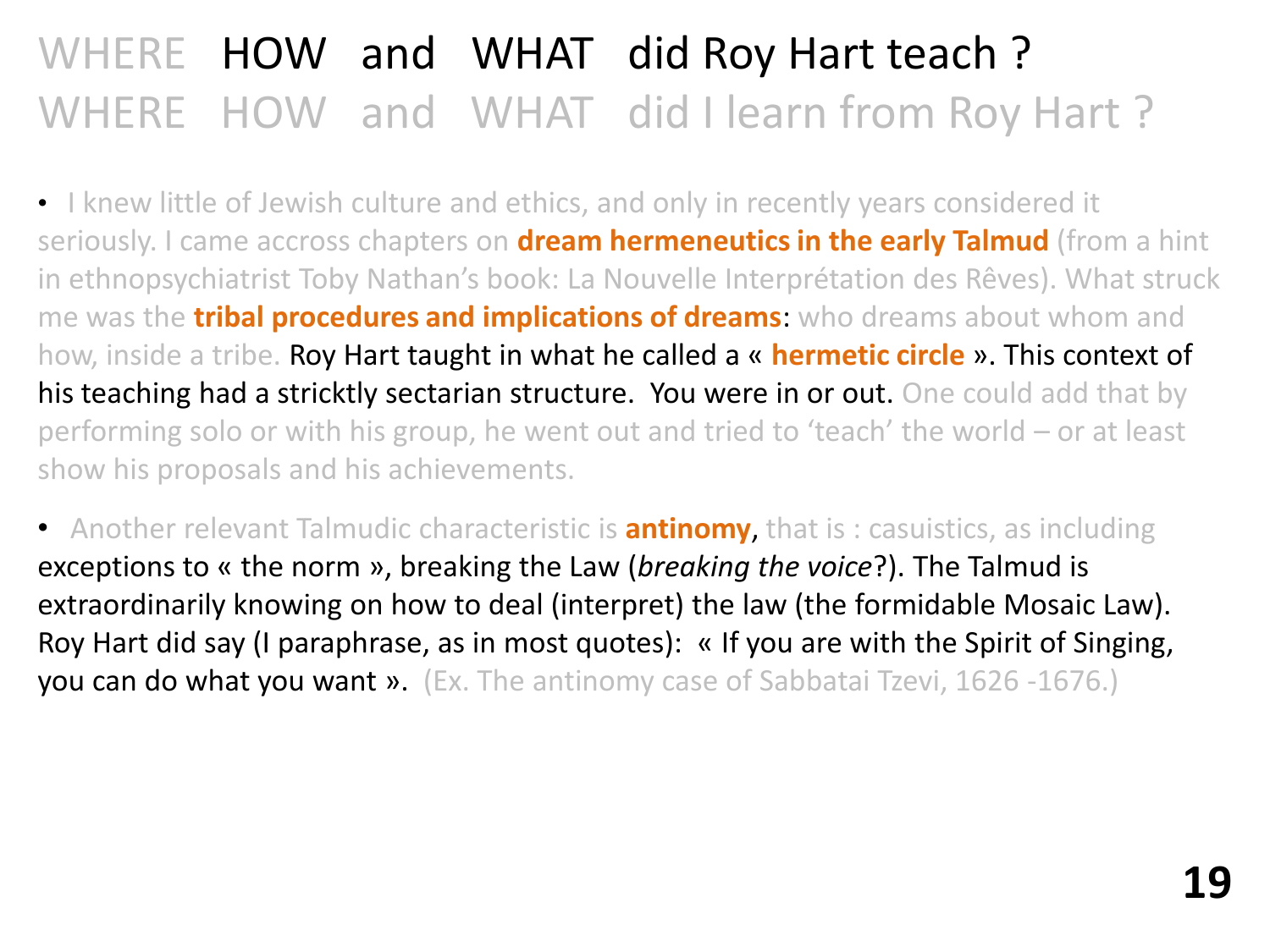# WHERE HOW and WHAT did Roy Hart teach ? WHERE HOW and WHAT did I learn from Roy Hart ?

• I knew little of Jewish culture and ethics, and only in recently years considered it seriously. I came accross chapters on **dream hermeneutics in the early Talmud** (from a hint in ethnopsychiatrist Toby Nathan's book: La Nouvelle Interprétation des Rêves). What struck me was the **tribal procedures and implications of dreams**: who dreams about whom and how, inside a tribe. Roy Hart taught in what he called a « **hermetic circle** ». This context of his teaching had a stricktly sectarian structure. You were in or out. One could add that by performing solo or with his group, he went out and tried to 'teach' the world – or at least show his proposals and his achievements.

• Another relevant Talmudic characteristic is **antinomy**, that is : casuistics, as including exceptions to « the norm », breaking the Law (*breaking the voice*?). The Talmud is extraordinarily knowing on how to deal (interpret) the law (the formidable Mosaic Law). Roy Hart did say (I paraphrase, as in most quotes): « If you are with the Spirit of Singing, you can do what you want ». (Ex. The antinomy case of Sabbatai Tzevi, 1626 -1676.)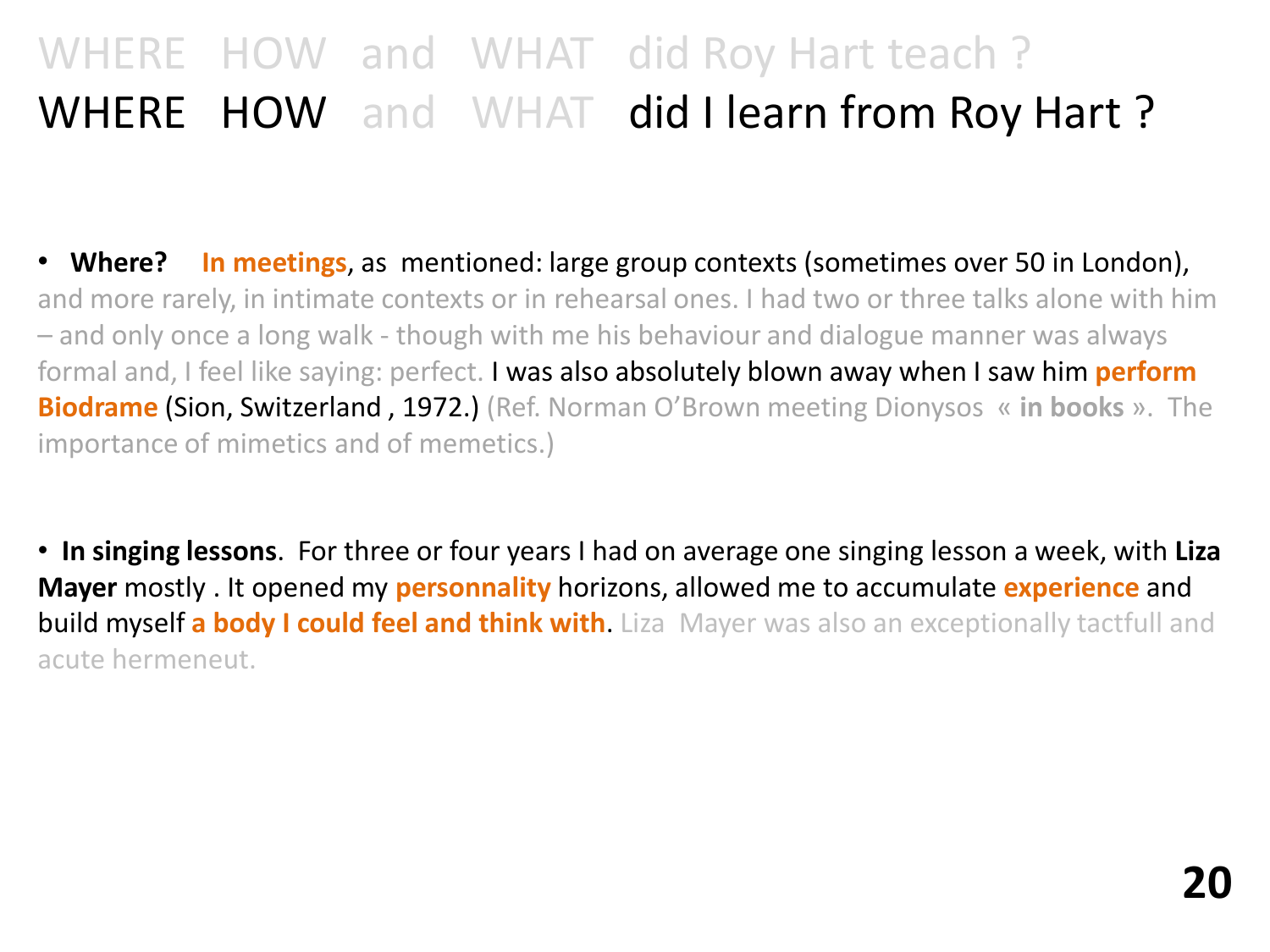# WHERE HOW and WHAT did Roy Hart teach ? WHERE HOW and WHAT did I learn from Roy Hart?

• **Where? In meetings**, as mentioned: large group contexts (sometimes over 50 in London), and more rarely, in intimate contexts or in rehearsal ones. I had two or three talks alone with him – and only once a long walk - though with me his behaviour and dialogue manner was always formal and, I feel like saying: perfect. I was also absolutely blown away when I saw him **perform Biodrame** (Sion, Switzerland , 1972.) (Ref. Norman O'Brown meeting Dionysos « **in books** ». The importance of mimetics and of memetics.)

• **In singing lessons**. For three or four years I had on average one singing lesson a week, with **Liza Mayer** mostly . It opened my **personnality** horizons, allowed me to accumulate **experience** and **build myself a body I could feel and think with**. Liza Mayer was also an exceptionally tactfull and acute hermeneut.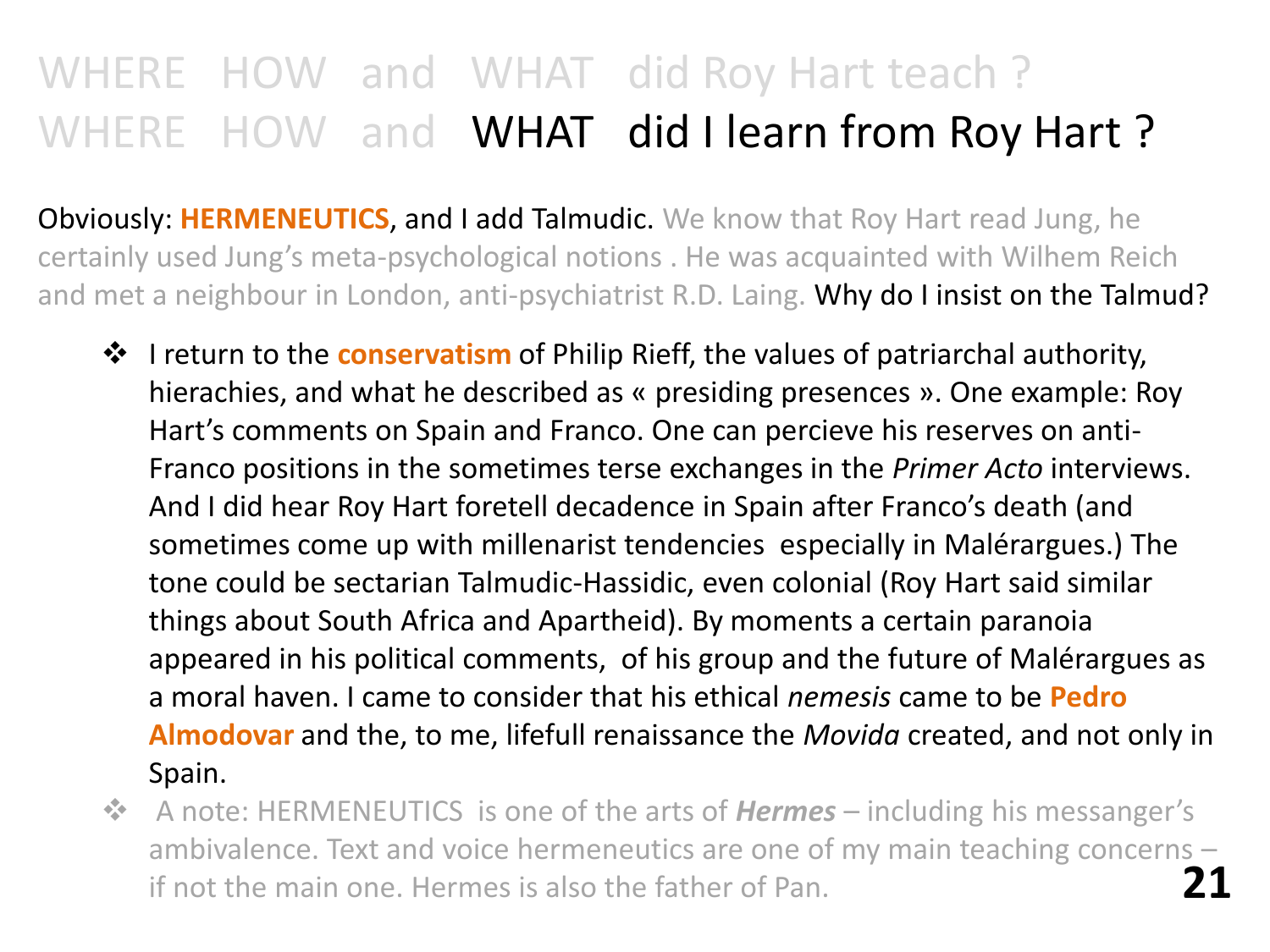# WHERE HOW and WHAT did Roy Hart teach ? WHERE HOW and WHAT did I learn from Roy Hart?

Obviously: **HERMENEUTICS**, and I add Talmudic. We know that Roy Hart read Jung, he certainly used Jung's meta-psychological notions . He was acquainted with Wilhem Reich and met a neighbour in London, anti-psychiatrist R.D. Laing. Why do I insist on the Talmud?

- $\dots$  I return to the **conservatism** of Philip Rieff, the values of patriarchal authority, hierachies, and what he described as « presiding presences ». One example: Roy Hart's comments on Spain and Franco. One can percieve his reserves on anti-Franco positions in the sometimes terse exchanges in the *Primer Acto* interviews. And I did hear Roy Hart foretell decadence in Spain after Franco's death (and sometimes come up with millenarist tendencies especially in Malérargues.) The tone could be sectarian Talmudic-Hassidic, even colonial (Roy Hart said similar things about South Africa and Apartheid). By moments a certain paranoia appeared in his political comments, of his group and the future of Malérargues as a moral haven. I came to consider that his ethical *nemesis* came to be **Pedro Almodovar** and the, to me, lifefull renaissance the *Movida* created, and not only in Spain.
- **EX** A note: HERMENEUTICS is one of the arts of **Hermes** including his messanger's ambivalence. Text and voice hermeneutics are one of my main teaching concerns – if not the main one. Hermes is also the father of Pan. **21**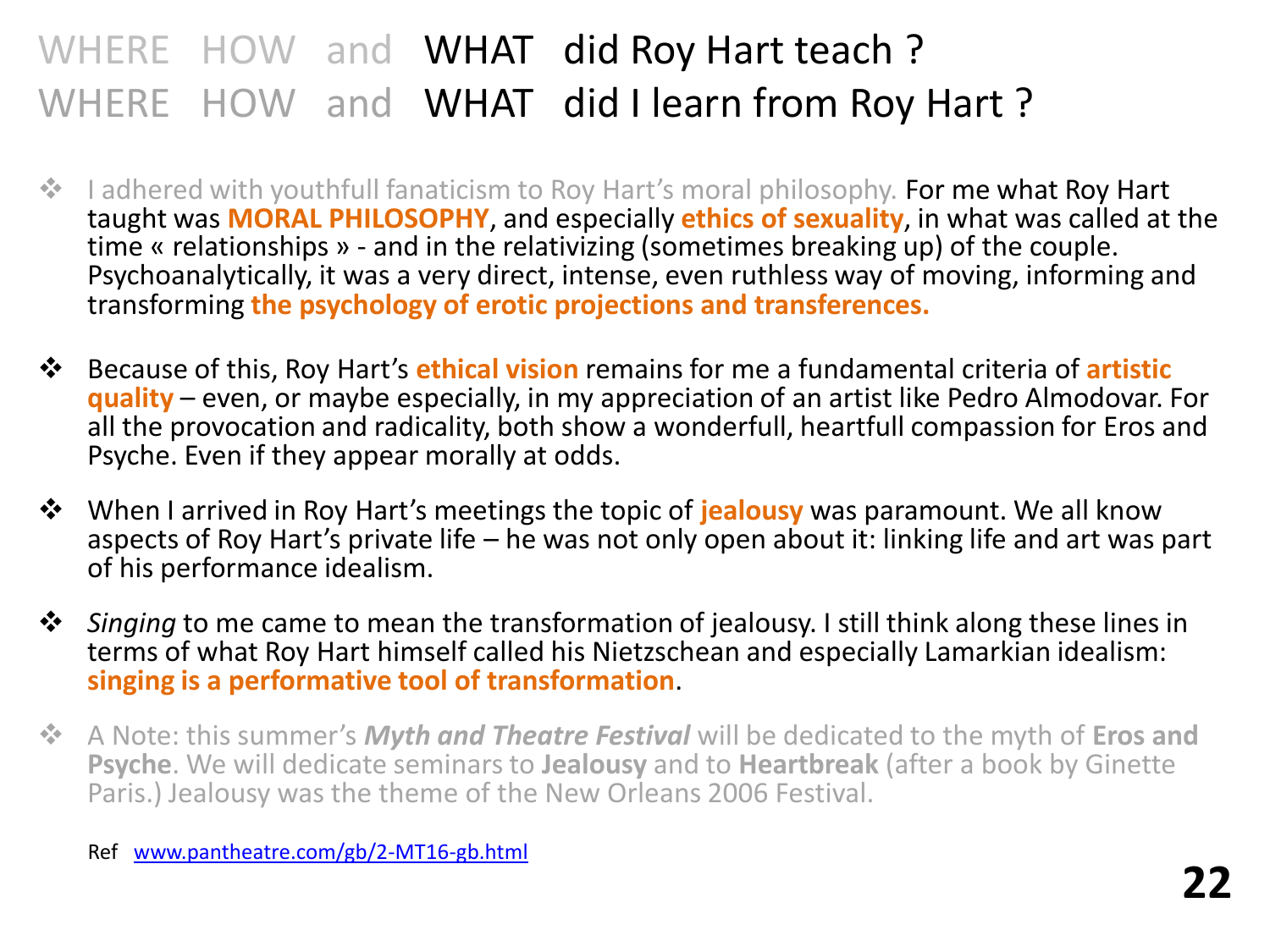## WHERE HOW and WHAT did Roy Hart teach? WHERE HOW and WHAT did I learn from Roy Hart?

- **I** adhered with youthfull fanaticism to Roy Hart's moral philosophy. For me what Roy Hart taught was **MORAL PHILOSOPHY**, and especially **ethics of sexuality**, in what was called at the time « relationships » - and in the relativizing (sometimes breaking up) of the couple. Psychoanalytically, it was a very direct, intense, even ruthless way of moving, informing and transforming **the psychology of erotic projections and transferences.**
- Because of this, Roy Hart's **ethical vision** remains for me a fundamental criteria of **artistic quality** – even, or maybe especially, in my appreciation of an artist like Pedro Almodovar. For all the provocation and radicality, both show a wonderfull, heartfull compassion for Eros and Psyche. Even if they appear morally at odds.
- **<sup>❖</sup>** When I arrived in Roy Hart's meetings the topic of **jealousy** was paramount. We all know aspects of Roy Hart's private life – he was not only open about it: linking life and art was part of his performance idealism.
- $\dots$  *Singing* to me came to mean the transformation of jealousy. I still think along these lines in terms of what Roy Hart himself called his Nietzschean and especially Lamarkian idealism: **singing is a performative tool of transformation**.
- A Note: this summer's *Myth and Theatre Festival* will be dedicated to the myth of **Eros and Psyche**. We will dedicate seminars to **Jealousy** and to **Heartbreak** (after a book by Ginette Paris.) Jealousy was the theme of the New Orleans 2006 Festival.

Ref [www.pantheatre.com/gb/2-MT16-gb.html](http://www.pantheatre.com/gb/2-MT16-gb.html)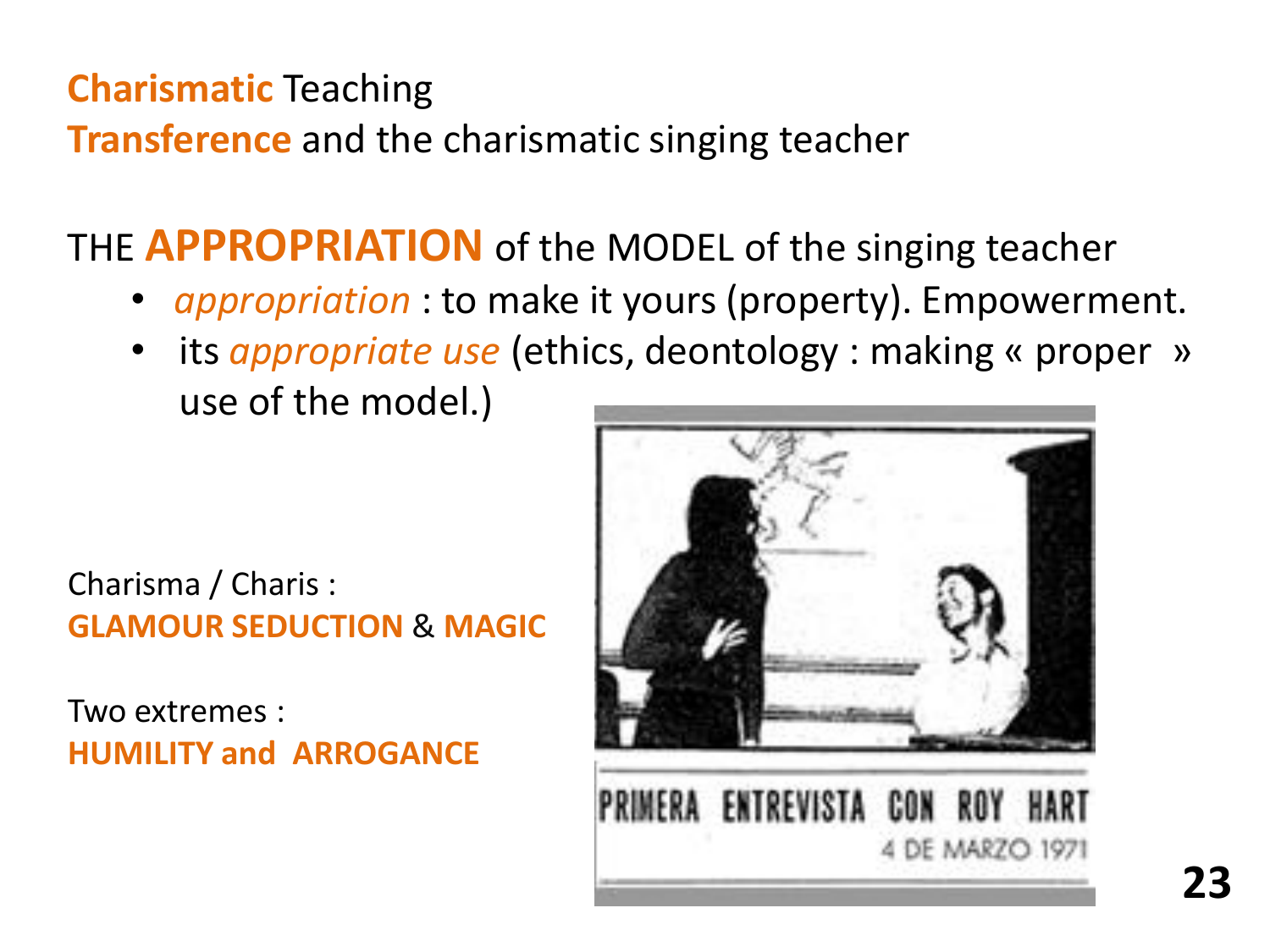## **Charismatic** Teaching

**Transference** and the charismatic singing teacher

## THE **APPROPRIATION** of the MODEL of the singing teacher

- *appropriation* : to make it yours (property). Empowerment.
- its *appropriate use* (ethics, deontology : making « proper » use of the model.)

Charisma / Charis : **GLAMOUR SEDUCTION** & **MAGIC**

Two extremes : **HUMILITY and ARROGANCE**

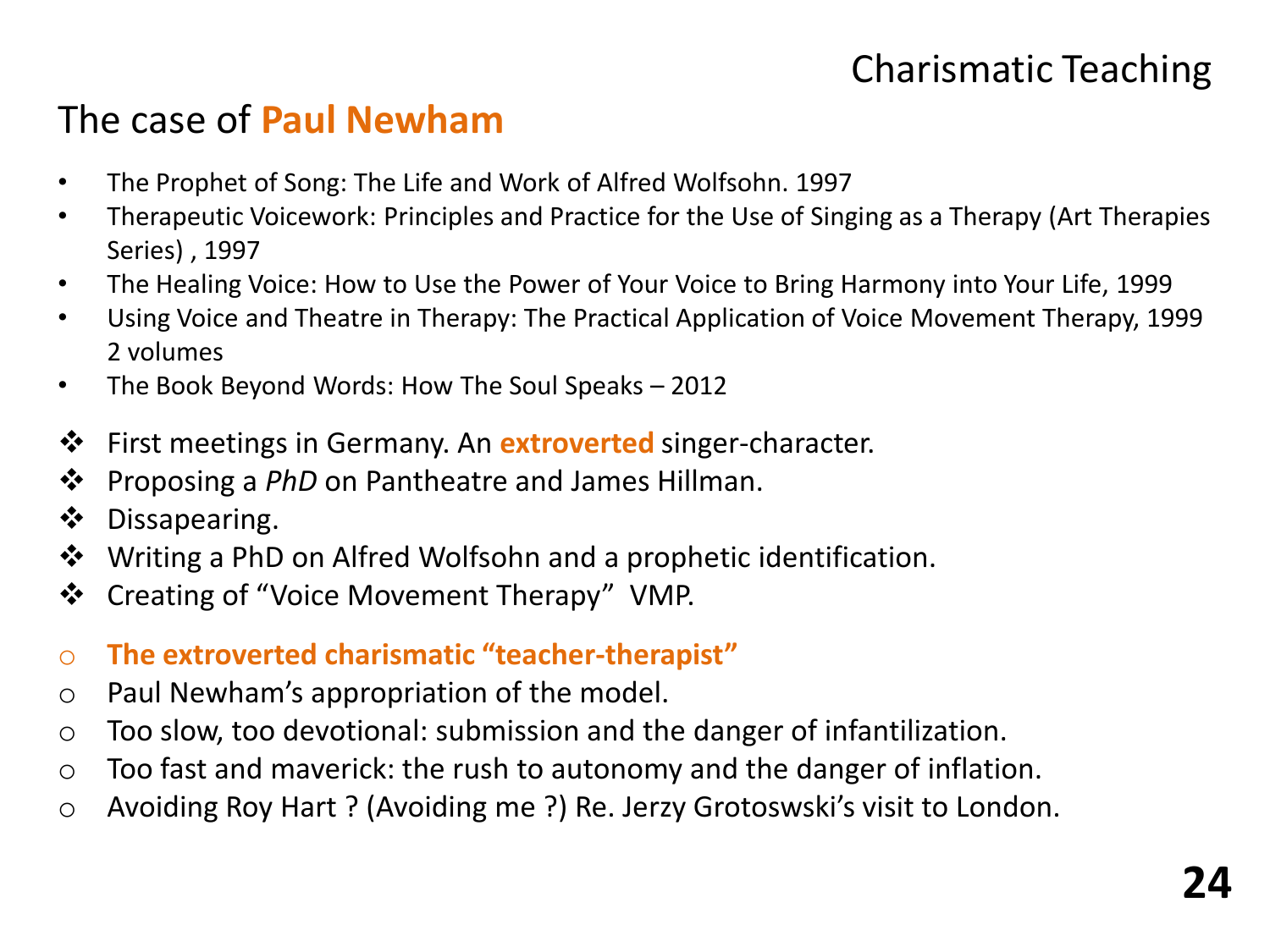## Charismatic Teaching

### The case of **Paul Newham**

- The Prophet of Song: The Life and Work of Alfred Wolfsohn. 1997
- Therapeutic Voicework: Principles and Practice for the Use of Singing as a Therapy (Art Therapies Series) , 1997
- The Healing Voice: How to Use the Power of Your Voice to Bring Harmony into Your Life, 1999
- Using Voice and Theatre in Therapy: The Practical Application of Voice Movement Therapy, 1999 2 volumes
- The Book Beyond Words: How The Soul Speaks 2012
- First meetings in Germany. An **extroverted** singer-character.
- **❖** Proposing a *PhD* on Pantheatre and James Hillman.
- Dissapearing.
- ❖ Writing a PhD on Alfred Wolfsohn and a prophetic identification.
- ❖ Creating of "Voice Movement Therapy" VMP.
- o **The extroverted charismatic "teacher-therapist"**
- o Paul Newham's appropriation of the model.
- o Too slow, too devotional: submission and the danger of infantilization.
- $\circ$  Too fast and maverick: the rush to autonomy and the danger of inflation.
- o Avoiding Roy Hart ? (Avoiding me ?) Re. Jerzy Grotoswski's visit to London.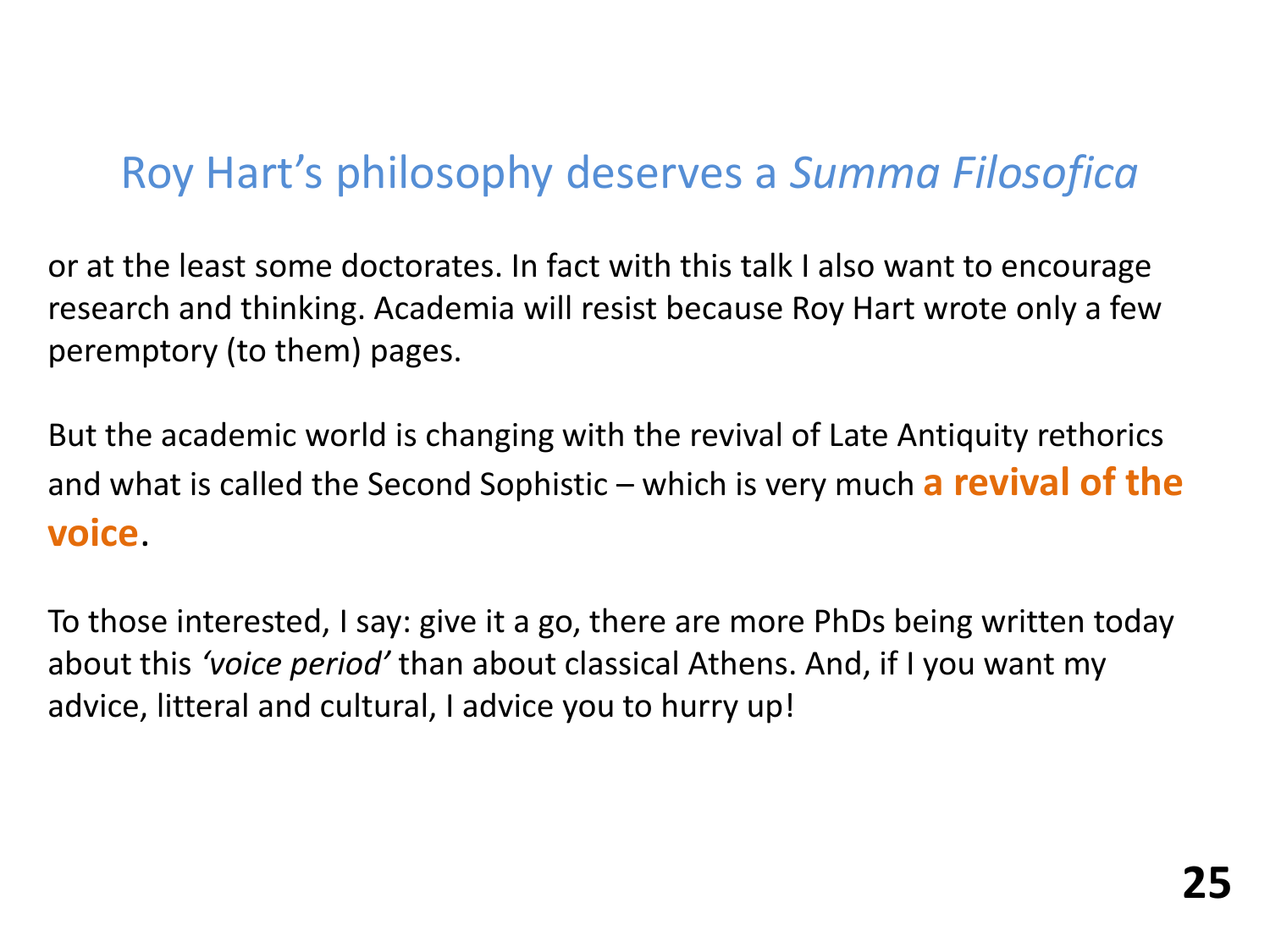# Roy Hart's philosophy deserves a *Summa Filosofica*

or at the least some doctorates. In fact with this talk I also want to encourage research and thinking. Academia will resist because Roy Hart wrote only a few peremptory (to them) pages.

But the academic world is changing with the revival of Late Antiquity rethorics and what is called the Second Sophistic – which is very much **a revival of the voice**.

To those interested, I say: give it a go, there are more PhDs being written today about this *'voice period'* than about classical Athens. And, if I you want my advice, litteral and cultural, I advice you to hurry up!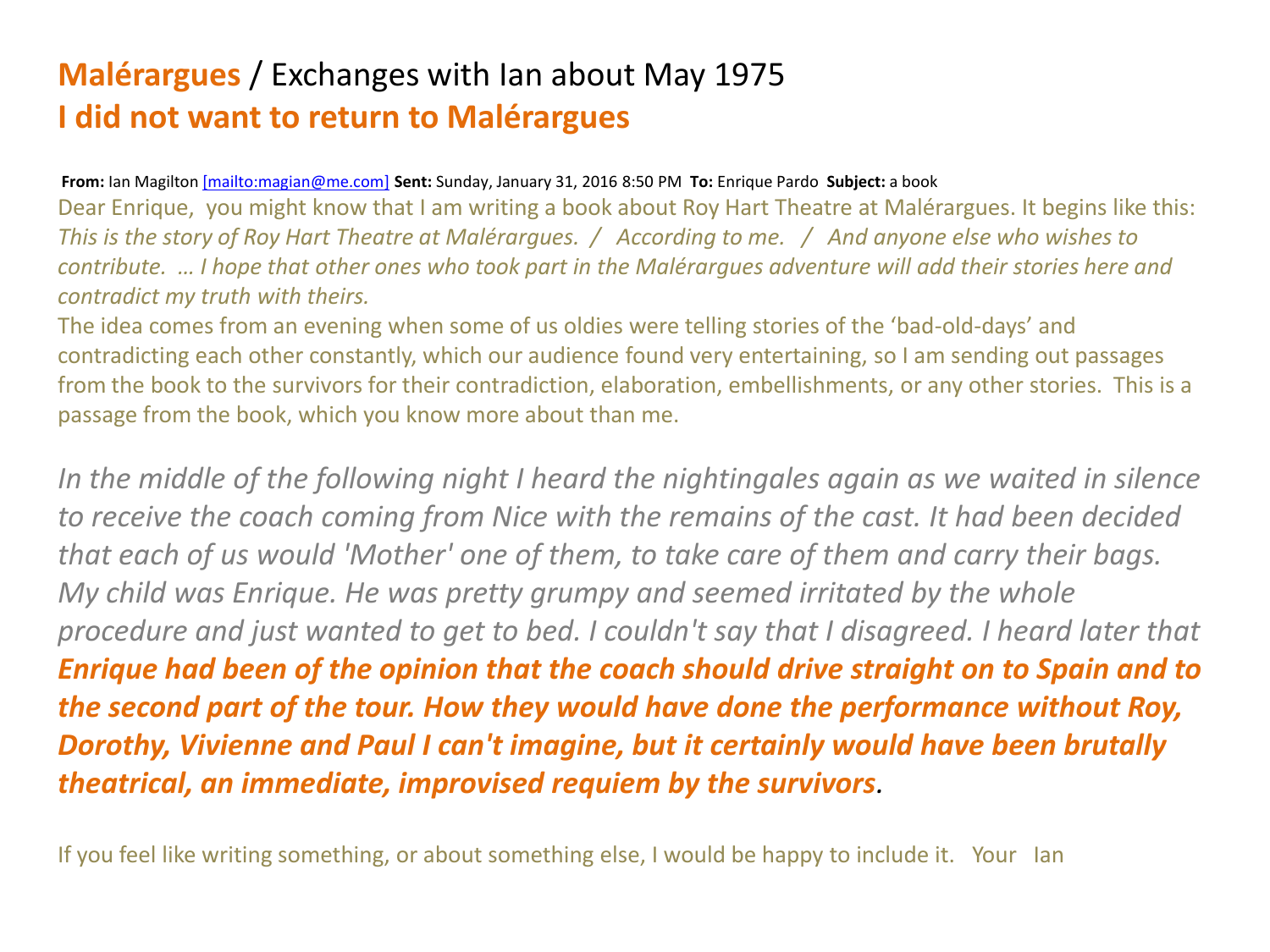### **Malérargues** / Exchanges with Ian about May 1975 **I did not want to return to Malérargues**

#### **From:** Ian Magilton [\[mailto:magian@me.com\]](mailto:[mailto:magian@me.com]) **Sent:** Sunday, January 31, 2016 8:50 PM **To:** Enrique Pardo **Subject:** a book

Dear Enrique, you might know that I am writing a book about Roy Hart Theatre at Malérargues. It begins like this: *This is the story of Roy Hart Theatre at Malérargues. / According to me. / And anyone else who wishes to contribute. … I hope that other ones who took part in the Malérargues adventure will add their stories here and contradict my truth with theirs.*

The idea comes from an evening when some of us oldies were telling stories of the 'bad-old-days' and contradicting each other constantly, which our audience found very entertaining, so I am sending out passages from the book to the survivors for their contradiction, elaboration, embellishments, or any other stories. This is a passage from the book, which you know more about than me.

*In the middle of the following night I heard the nightingales again as we waited in silence to receive the coach coming from Nice with the remains of the cast. It had been decided that each of us would 'Mother' one of them, to take care of them and carry their bags. My child was Enrique. He was pretty grumpy and seemed irritated by the whole procedure and just wanted to get to bed. I couldn't say that I disagreed. I heard later that Enrique had been of the opinion that the coach should drive straight on to Spain and to the second part of the tour. How they would have done the performance without Roy, Dorothy, Vivienne and Paul I can't imagine, but it certainly would have been brutally theatrical, an immediate, improvised requiem by the survivors.*

If you feel like writing something, or about something else, I would be happy to include it. Your Ian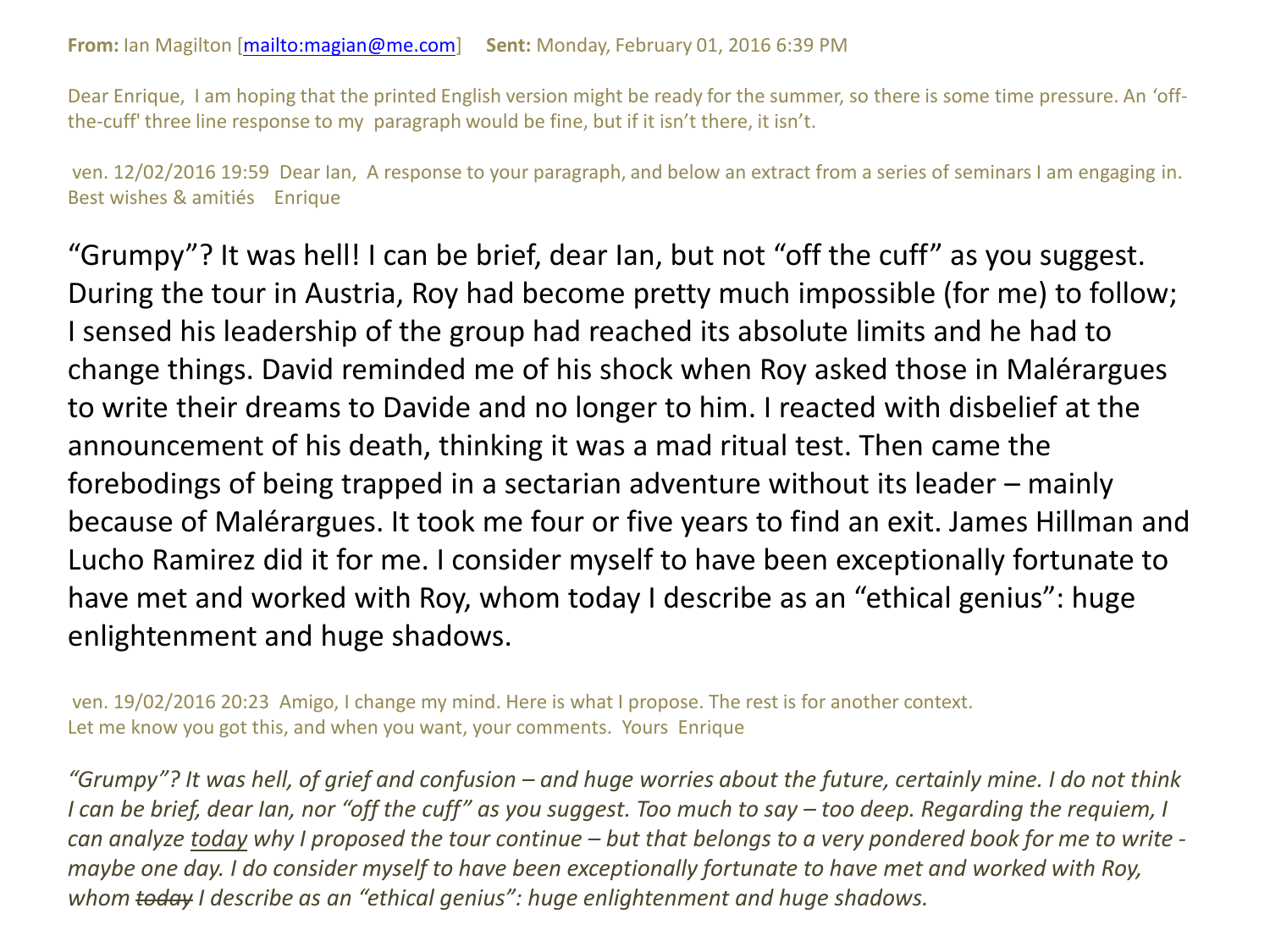Dear Enrique, I am hoping that the printed English version might be ready for the summer, so there is some time pressure. An 'offthe-cuff' three line response to my paragraph would be fine, but if it isn't there, it isn't.

ven. 12/02/2016 19:59 Dear Ian, A response to your paragraph, and below an extract from a series of seminars I am engaging in. Best wishes & amitiés Enrique

"Grumpy"? It was hell! I can be brief, dear Ian, but not "off the cuff" as you suggest. During the tour in Austria, Roy had become pretty much impossible (for me) to follow; I sensed his leadership of the group had reached its absolute limits and he had to change things. David reminded me of his shock when Roy asked those in Malérargues to write their dreams to Davide and no longer to him. I reacted with disbelief at the announcement of his death, thinking it was a mad ritual test. Then came the forebodings of being trapped in a sectarian adventure without its leader – mainly because of Malérargues. It took me four or five years to find an exit. James Hillman and Lucho Ramirez did it for me. I consider myself to have been exceptionally fortunate to have met and worked with Roy, whom today I describe as an "ethical genius": huge enlightenment and huge shadows.

ven. 19/02/2016 20:23 Amigo, I change my mind. Here is what I propose. The rest is for another context. Let me know you got this, and when you want, your comments. Yours Enrique

*"Grumpy"? It was hell, of grief and confusion – and huge worries about the future, certainly mine. I do not think I can be brief, dear Ian, nor "off the cuff" as you suggest. Too much to say – too deep. Regarding the requiem, I can analyze today why I proposed the tour continue – but that belongs to a very pondered book for me to write maybe one day. I do consider myself to have been exceptionally fortunate to have met and worked with Roy, whom today I describe as an "ethical genius": huge enlightenment and huge shadows.*